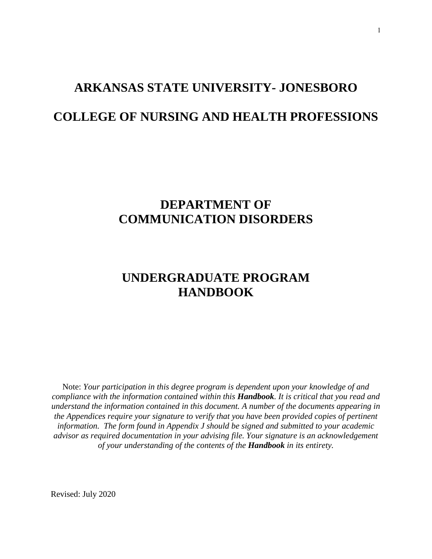# **ARKANSAS STATE UNIVERSITY- JONESBORO COLLEGE OF NURSING AND HEALTH PROFESSIONS**

### **DEPARTMENT OF COMMUNICATION DISORDERS**

### **UNDERGRADUATE PROGRAM HANDBOOK**

Note: *Your participation in this degree program is dependent upon your knowledge of and compliance with the information contained within this Handbook. It is critical that you read and understand the information contained in this document. A number of the documents appearing in the Appendices require your signature to verify that you have been provided copies of pertinent information. The form found in Appendix J should be signed and submitted to your academic advisor as required documentation in your advising file. Your signature is an acknowledgement of your understanding of the contents of the Handbook in its entirety.*

Revised: July 2020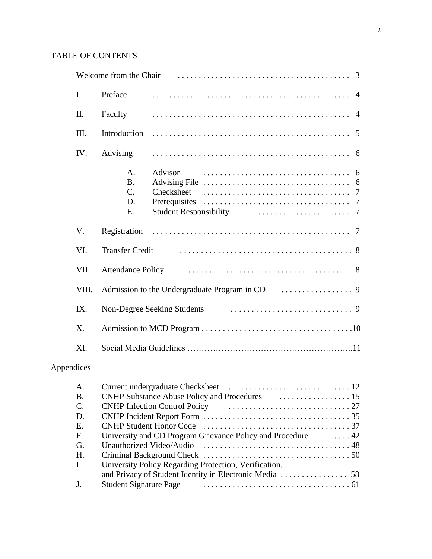#### TABLE OF CONTENTS

| $\mathbf{I}$ . | Preface                                       |                                        |
|----------------|-----------------------------------------------|----------------------------------------|
| II.            | Faculty                                       |                                        |
| III.           | Introduction                                  |                                        |
| IV.            | Advising                                      |                                        |
|                | A.<br><b>B.</b><br>$\mathbf{C}$ .<br>D.<br>E. | Advisor<br>Checksheet<br>Prerequisites |
| V.             | Registration                                  |                                        |
| VI.            | <b>Transfer Credit</b>                        |                                        |
| VII.           |                                               |                                        |
| VIII.          |                                               |                                        |
| IX.            |                                               |                                        |
| X.             |                                               |                                        |
| XI.            |                                               |                                        |

### Appendices

| A.            |                                                                                 |  |
|---------------|---------------------------------------------------------------------------------|--|
| <b>B.</b>     |                                                                                 |  |
| $\mathbf C$ . | CNHP Infection Control Policy (Executive Lines and Allen Lines 27               |  |
| D.            |                                                                                 |  |
| Е.            |                                                                                 |  |
| F.            | University and CD Program Grievance Policy and Procedure 42                     |  |
| G.            |                                                                                 |  |
| H.            |                                                                                 |  |
| I.            | University Policy Regarding Protection, Verification,                           |  |
|               |                                                                                 |  |
| $J_{\cdot}$   | Student Signature Page expansion contains a state of the Student Signature Page |  |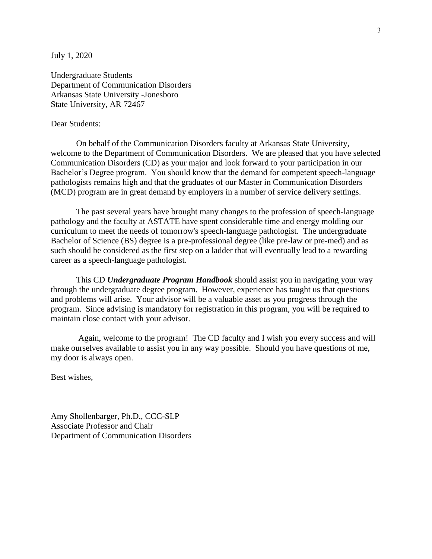July 1, 2020

Undergraduate Students Department of Communication Disorders Arkansas State University -Jonesboro State University, AR 72467

#### Dear Students:

On behalf of the Communication Disorders faculty at Arkansas State University, welcome to the Department of Communication Disorders. We are pleased that you have selected Communication Disorders (CD) as your major and look forward to your participation in our Bachelor's Degree program. You should know that the demand for competent speech-language pathologists remains high and that the graduates of our Master in Communication Disorders (MCD) program are in great demand by employers in a number of service delivery settings.

The past several years have brought many changes to the profession of speech-language pathology and the faculty at ASTATE have spent considerable time and energy molding our curriculum to meet the needs of tomorrow's speech-language pathologist. The undergraduate Bachelor of Science (BS) degree is a pre-professional degree (like pre-law or pre-med) and as such should be considered as the first step on a ladder that will eventually lead to a rewarding career as a speech-language pathologist.

This CD *Undergraduate Program Handbook* should assist you in navigating your way through the undergraduate degree program. However, experience has taught us that questions and problems will arise. Your advisor will be a valuable asset as you progress through the program. Since advising is mandatory for registration in this program, you will be required to maintain close contact with your advisor.

Again, welcome to the program! The CD faculty and I wish you every success and will make ourselves available to assist you in any way possible. Should you have questions of me, my door is always open.

Best wishes,

Amy Shollenbarger, Ph.D., CCC-SLP Associate Professor and Chair Department of Communication Disorders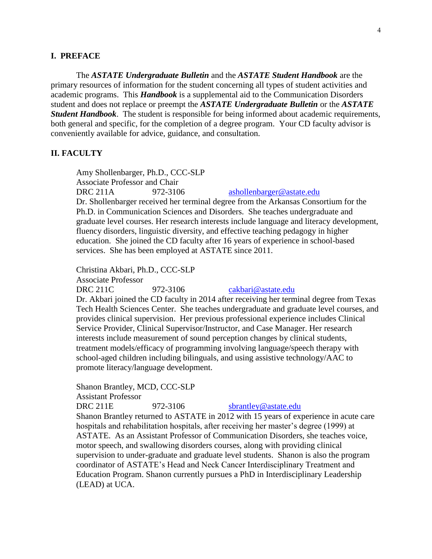#### **I. PREFACE**

The *ASTATE Undergraduate Bulletin* and the *ASTATE Student Handbook* are the primary resources of information for the student concerning all types of student activities and academic programs. This *Handbook* is a supplemental aid to the Communication Disorders student and does not replace or preempt the *ASTATE Undergraduate Bulletin* or the *ASTATE Student Handbook*. The student is responsible for being informed about academic requirements, both general and specific, for the completion of a degree program. Your CD faculty advisor is conveniently available for advice, guidance, and consultation.

#### **II. FACULTY**

Amy Shollenbarger, Ph.D., CCC-SLP Associate Professor and Chair DRC 211A 972-3106 [ashollenbarger@astate.edu](mailto:ashollenbarger@astate.edu) Dr. Shollenbarger received her terminal degree from the Arkansas Consortium for the Ph.D. in Communication Sciences and Disorders. She teaches undergraduate and graduate level courses. Her research interests include language and literacy development, fluency disorders, linguistic diversity, and effective teaching pedagogy in higher education. She joined the CD faculty after 16 years of experience in school-based services. She has been employed at ASTATE since 2011.

Christina Akbari, Ph.D., CCC-SLP

Associate Professor

DRC 211C 972-3106 [cakbari@astate.edu](mailto:mcatt@astate.edu)

Dr. Akbari joined the CD faculty in 2014 after receiving her terminal degree from Texas Tech Health Sciences Center. She teaches undergraduate and graduate level courses, and provides clinical supervision. Her previous professional experience includes Clinical Service Provider, Clinical Supervisor/Instructor, and Case Manager. Her research interests include measurement of sound perception changes by clinical students, treatment models/efficacy of programming involving language/speech therapy with school-aged children including bilinguals, and using assistive technology/AAC to promote literacy/language development.

Shanon Brantley, MCD, CCC-SLP

Assistant Professor

DRC 211E 972-3106 [sbrantley@astate.edu](mailto:whinkle@astate.edu) Shanon Brantley returned to ASTATE in 2012 with 15 years of experience in acute care hospitals and rehabilitation hospitals, after receiving her master's degree (1999) at ASTATE. As an Assistant Professor of Communication Disorders, she teaches voice, motor speech, and swallowing disorders courses, along with providing clinical supervision to under-graduate and graduate level students. Shanon is also the program coordinator of ASTATE's Head and Neck Cancer Interdisciplinary Treatment and Education Program. Shanon currently pursues a PhD in Interdisciplinary Leadership (LEAD) at UCA.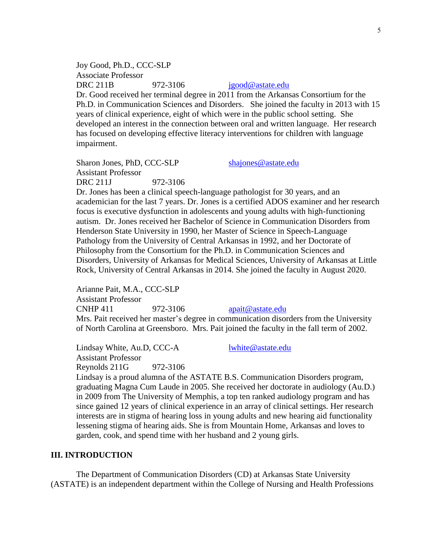Joy Good, Ph.D., CCC-SLP Associate Professor DRC 211B 972-3106  $j \text{good} @$  astate.edu Dr. Good received her terminal degree in 2011 from the Arkansas Consortium for the Ph.D. in Communication Sciences and Disorders. She joined the faculty in 2013 with 15 years of clinical experience, eight of which were in the public school setting. She developed an interest in the connection between oral and written language. Her research has focused on developing effective literacy interventions for children with language impairment.

Sharon Jones, PhD, CCC-SLP [shajones@astate.edu](mailto:shajones@astate.edu) Assistant Professor DRC 211J 972-3106

Dr. Jones has been a clinical speech-language pathologist for 30 years, and an academician for the last 7 years. Dr. Jones is a certified ADOS examiner and her research focus is executive dysfunction in adolescents and young adults with high-functioning autism. Dr. Jones received her Bachelor of Science in Communication Disorders from Henderson State University in 1990, her Master of Science in Speech-Language Pathology from the University of Central Arkansas in 1992, and her Doctorate of Philosophy from the Consortium for the Ph.D. in Communication Sciences and Disorders, University of Arkansas for Medical Sciences, University of Arkansas at Little Rock, University of Central Arkansas in 2014. She joined the faculty in August 2020.

Arianne Pait, M.A., CCC-SLP Assistant Professor CNHP 411 972-3106 [apait@astate.edu](mailto:apait@astate.edu) Mrs. Pait received her master's degree in communication disorders from the University of North Carolina at Greensboro. Mrs. Pait joined the faculty in the fall term of 2002.

Lindsay White, Au.D, CCC-A [lwhite@astate.edu](mailto:lwhite@astate.edu) Assistant Professor Reynolds 211G 972-3106

Lindsay is a proud alumna of the ASTATE B.S. Communication Disorders program, graduating Magna Cum Laude in 2005. She received her doctorate in audiology (Au.D.) in 2009 from The University of Memphis, a top ten ranked audiology program and has since gained 12 years of clinical experience in an array of clinical settings. Her research interests are in stigma of hearing loss in young adults and new hearing aid functionality lessening stigma of hearing aids. She is from Mountain Home, Arkansas and loves to garden, cook, and spend time with her husband and 2 young girls.

#### **III. INTRODUCTION**

The Department of Communication Disorders (CD) at Arkansas State University (ASTATE) is an independent department within the College of Nursing and Health Professions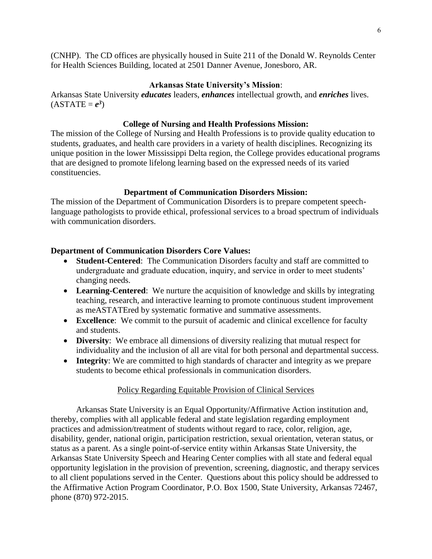(CNHP). The CD offices are physically housed in Suite 211 of the Donald W. Reynolds Center for Health Sciences Building, located at 2501 Danner Avenue, Jonesboro, AR.

#### **Arkansas State University's Mission**:

Arkansas State University *educates* leaders, *enhances* intellectual growth, and *enriches* lives.  $(ASTATE = e^3)$ 

#### **College of Nursing and Health Professions Mission:**

The mission of the College of Nursing and Health Professions is to provide quality education to students, graduates, and health care providers in a variety of health disciplines. Recognizing its unique position in the lower Mississippi Delta region, the College provides educational programs that are designed to promote lifelong learning based on the expressed needs of its varied constituencies.

#### **Department of Communication Disorders Mission:**

The mission of the Department of Communication Disorders is to prepare competent speechlanguage pathologists to provide ethical, professional services to a broad spectrum of individuals with communication disorders.

#### **Department of Communication Disorders Core Values:**

- **Student-Centered**: The Communication Disorders faculty and staff are committed to undergraduate and graduate education, inquiry, and service in order to meet students' changing needs.
- **Learning-Centered**: We nurture the acquisition of knowledge and skills by integrating teaching, research, and interactive learning to promote continuous student improvement as meASTATEred by systematic formative and summative assessments.
- **Excellence**: We commit to the pursuit of academic and clinical excellence for faculty and students.
- **Diversity**: We embrace all dimensions of diversity realizing that mutual respect for individuality and the inclusion of all are vital for both personal and departmental success.
- **Integrity**: We are committed to high standards of character and integrity as we prepare students to become ethical professionals in communication disorders.

#### Policy Regarding Equitable Provision of Clinical Services

Arkansas State University is an Equal Opportunity/Affirmative Action institution and, thereby, complies with all applicable federal and state legislation regarding employment practices and admission/treatment of students without regard to race, color, religion, age, disability, gender, national origin, participation restriction, sexual orientation, veteran status, or status as a parent. As a single point-of-service entity within Arkansas State University, the Arkansas State University Speech and Hearing Center complies with all state and federal equal opportunity legislation in the provision of prevention, screening, diagnostic, and therapy services to all client populations served in the Center. Questions about this policy should be addressed to the Affirmative Action Program Coordinator, P.O. Box 1500, State University, Arkansas 72467, phone (870) 972-2015.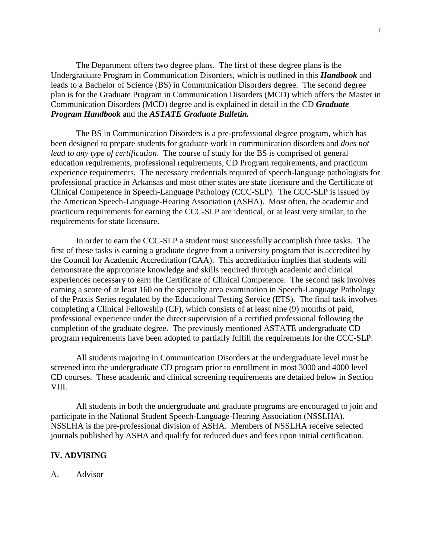The Department offers two degree plans. The first of these degree plans is the Undergraduate Program in Communication Disorders, which is outlined in this *Handbook* and leads to a Bachelor of Science (BS) in Communication Disorders degree. The second degree plan is for the Graduate Program in Communication Disorders (MCD) which offers the Master in Communication Disorders (MCD) degree and is explained in detail in the CD *Graduate Program Handbook* and the *ASTATE Graduate Bulletin.*

The BS in Communication Disorders is a pre-professional degree program, which has been designed to prepare students for graduate work in communication disorders and *does not lead to any type of certification*. The course of study for the BS is comprised of general education requirements, professional requirements, CD Program requirements, and practicum experience requirements. The necessary credentials required of speech-language pathologists for professional practice in Arkansas and most other states are state licensure and the Certificate of Clinical Competence in Speech-Language Pathology (CCC-SLP). The CCC-SLP is issued by the American Speech-Language-Hearing Association (ASHA). Most often, the academic and practicum requirements for earning the CCC-SLP are identical, or at least very similar, to the requirements for state licensure.

In order to earn the CCC-SLP a student must successfully accomplish three tasks. The first of these tasks is earning a graduate degree from a university program that is accredited by the Council for Academic Accreditation (CAA). This accreditation implies that students will demonstrate the appropriate knowledge and skills required through academic and clinical experiences necessary to earn the Certificate of Clinical Competence. The second task involves earning a score of at least 160 on the specialty area examination in Speech-Language Pathology of the Praxis Series regulated by the Educational Testing Service (ETS). The final task involves completing a Clinical Fellowship (CF), which consists of at least nine (9) months of paid, professional experience under the direct supervision of a certified professional following the completion of the graduate degree. The previously mentioned ASTATE undergraduate CD program requirements have been adopted to partially fulfill the requirements for the CCC-SLP.

All students majoring in Communication Disorders at the undergraduate level must be screened into the undergraduate CD program prior to enrollment in most 3000 and 4000 level CD courses. These academic and clinical screening requirements are detailed below in Section VIII.

All students in both the undergraduate and graduate programs are encouraged to join and participate in the National Student Speech-Language-Hearing Association (NSSLHA). NSSLHA is the pre-professional division of ASHA. Members of NSSLHA receive selected journals published by ASHA and qualify for reduced dues and fees upon initial certification.

#### **IV. ADVISING**

A. Advisor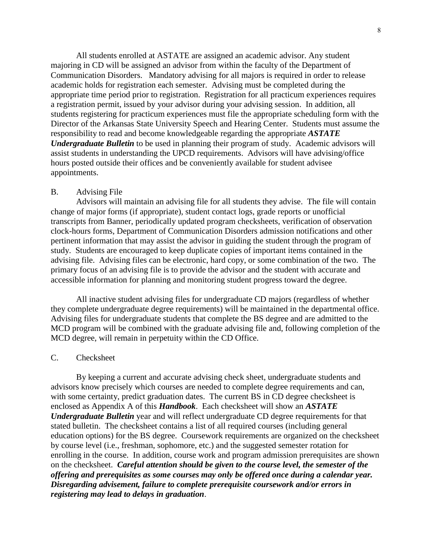All students enrolled at ASTATE are assigned an academic advisor. Any student majoring in CD will be assigned an advisor from within the faculty of the Department of Communication Disorders. Mandatory advising for all majors is required in order to release academic holds for registration each semester. Advising must be completed during the appropriate time period prior to registration. Registration for all practicum experiences requires a registration permit, issued by your advisor during your advising session. In addition, all students registering for practicum experiences must file the appropriate scheduling form with the Director of the Arkansas State University Speech and Hearing Center. Students must assume the responsibility to read and become knowledgeable regarding the appropriate *ASTATE Undergraduate Bulletin* to be used in planning their program of study. Academic advisors will assist students in understanding the UPCD requirements. Advisors will have advising/office hours posted outside their offices and be conveniently available for student advisee appointments.

#### B. Advising File

Advisors will maintain an advising file for all students they advise. The file will contain change of major forms (if appropriate), student contact logs, grade reports or unofficial transcripts from Banner, periodically updated program checksheets, verification of observation clock-hours forms, Department of Communication Disorders admission notifications and other pertinent information that may assist the advisor in guiding the student through the program of study. Students are encouraged to keep duplicate copies of important items contained in the advising file. Advising files can be electronic, hard copy, or some combination of the two. The primary focus of an advising file is to provide the advisor and the student with accurate and accessible information for planning and monitoring student progress toward the degree.

All inactive student advising files for undergraduate CD majors (regardless of whether they complete undergraduate degree requirements) will be maintained in the departmental office. Advising files for undergraduate students that complete the BS degree and are admitted to the MCD program will be combined with the graduate advising file and, following completion of the MCD degree, will remain in perpetuity within the CD Office.

#### C. Checksheet

By keeping a current and accurate advising check sheet, undergraduate students and advisors know precisely which courses are needed to complete degree requirements and can, with some certainty, predict graduation dates. The current BS in CD degree checksheet is enclosed as Appendix A of this *Handbook*. Each checksheet will show an *ASTATE Undergraduate Bulletin* year and will reflect undergraduate CD degree requirements for that stated bulletin. The checksheet contains a list of all required courses (including general education options) for the BS degree. Coursework requirements are organized on the checksheet by course level (i.e., freshman, sophomore, etc.) and the suggested semester rotation for enrolling in the course. In addition, course work and program admission prerequisites are shown on the checksheet. *Careful attention should be given to the course level, the semester of the offering and prerequisites as some courses may only be offered once during a calendar year. Disregarding advisement, failure to complete prerequisite coursework and/or errors in registering may lead to delays in graduation*.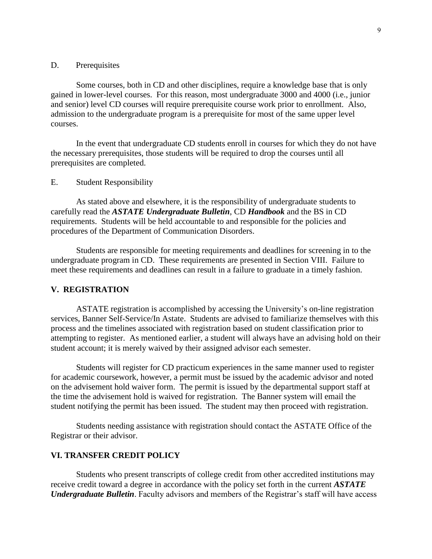#### D. Prerequisites

Some courses, both in CD and other disciplines, require a knowledge base that is only gained in lower-level courses. For this reason, most undergraduate 3000 and 4000 (i.e., junior and senior) level CD courses will require prerequisite course work prior to enrollment. Also, admission to the undergraduate program is a prerequisite for most of the same upper level courses.

In the event that undergraduate CD students enroll in courses for which they do not have the necessary prerequisites, those students will be required to drop the courses until all prerequisites are completed.

#### E. Student Responsibility

As stated above and elsewhere, it is the responsibility of undergraduate students to carefully read the *ASTATE Undergraduate Bulletin*, CD *Handbook* and the BS in CD requirements. Students will be held accountable to and responsible for the policies and procedures of the Department of Communication Disorders.

Students are responsible for meeting requirements and deadlines for screening in to the undergraduate program in CD. These requirements are presented in Section VIII. Failure to meet these requirements and deadlines can result in a failure to graduate in a timely fashion.

#### **V. REGISTRATION**

ASTATE registration is accomplished by accessing the University's on-line registration services, Banner Self-Service/In Astate. Students are advised to familiarize themselves with this process and the timelines associated with registration based on student classification prior to attempting to register. As mentioned earlier, a student will always have an advising hold on their student account; it is merely waived by their assigned advisor each semester.

Students will register for CD practicum experiences in the same manner used to register for academic coursework, however, a permit must be issued by the academic advisor and noted on the advisement hold waiver form. The permit is issued by the departmental support staff at the time the advisement hold is waived for registration. The Banner system will email the student notifying the permit has been issued. The student may then proceed with registration.

Students needing assistance with registration should contact the ASTATE Office of the Registrar or their advisor.

#### **VI. TRANSFER CREDIT POLICY**

Students who present transcripts of college credit from other accredited institutions may receive credit toward a degree in accordance with the policy set forth in the current *ASTATE Undergraduate Bulletin*. Faculty advisors and members of the Registrar's staff will have access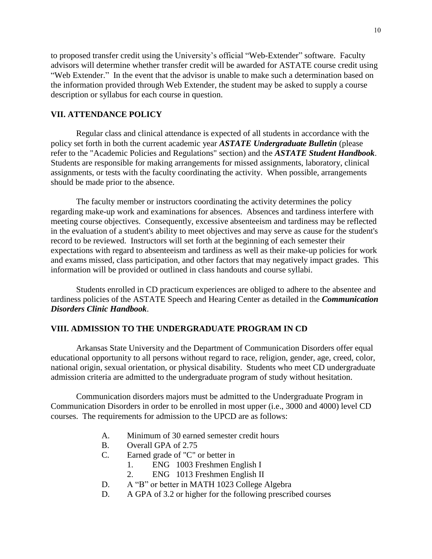to proposed transfer credit using the University's official "Web-Extender" software. Faculty advisors will determine whether transfer credit will be awarded for ASTATE course credit using "Web Extender." In the event that the advisor is unable to make such a determination based on the information provided through Web Extender, the student may be asked to supply a course description or syllabus for each course in question.

#### **VII. ATTENDANCE POLICY**

Regular class and clinical attendance is expected of all students in accordance with the policy set forth in both the current academic year *ASTATE Undergraduate Bulletin* (please refer to the "Academic Policies and Regulations" section) and the *ASTATE Student Handbook*. Students are responsible for making arrangements for missed assignments, laboratory, clinical assignments, or tests with the faculty coordinating the activity. When possible, arrangements should be made prior to the absence.

The faculty member or instructors coordinating the activity determines the policy regarding make-up work and examinations for absences. Absences and tardiness interfere with meeting course objectives. Consequently, excessive absenteeism and tardiness may be reflected in the evaluation of a student's ability to meet objectives and may serve as cause for the student's record to be reviewed. Instructors will set forth at the beginning of each semester their expectations with regard to absenteeism and tardiness as well as their make-up policies for work and exams missed, class participation, and other factors that may negatively impact grades. This information will be provided or outlined in class handouts and course syllabi.

Students enrolled in CD practicum experiences are obliged to adhere to the absentee and tardiness policies of the ASTATE Speech and Hearing Center as detailed in the *Communication Disorders Clinic Handbook*.

#### **VIII. ADMISSION TO THE UNDERGRADUATE PROGRAM IN CD**

Arkansas State University and the Department of Communication Disorders offer equal educational opportunity to all persons without regard to race, religion, gender, age, creed, color, national origin, sexual orientation, or physical disability. Students who meet CD undergraduate admission criteria are admitted to the undergraduate program of study without hesitation.

Communication disorders majors must be admitted to the Undergraduate Program in Communication Disorders in order to be enrolled in most upper (i.e., 3000 and 4000) level CD courses. The requirements for admission to the UPCD are as follows:

- A. Minimum of 30 earned semester credit hours
- B. Overall GPA of 2.75
- C. Earned grade of "C" or better in
	- 1. ENG 1003 Freshmen English I
	- 2. ENG 1013 Freshmen English II
- D. A "B" or better in MATH 1023 College Algebra
- D. A GPA of 3.2 or higher for the following prescribed courses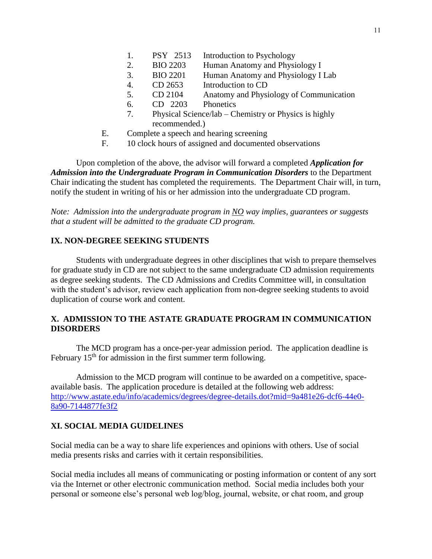- 2. BIO 2203 Human Anatomy and Physiology I
- 3. BIO 2201 Human Anatomy and Physiology I Lab
- 4. CD 2653 Introduction to CD
- 5. CD 2104 Anatomy and Physiology of Communication
- 6. CD 2203 Phonetics
- 7. Physical Science/lab Chemistry or Physics is highly recommended.)
- E. Complete a speech and hearing screening
- F. 10 clock hours of assigned and documented observations

Upon completion of the above, the advisor will forward a completed *Application for Admission into the Undergraduate Program in Communication Disorders* to the Department Chair indicating the student has completed the requirements. The Department Chair will, in turn, notify the student in writing of his or her admission into the undergraduate CD program.

*Note: Admission into the undergraduate program in NO way implies, guarantees or suggests that a student will be admitted to the graduate CD program.*

#### **IX. NON-DEGREE SEEKING STUDENTS**

Students with undergraduate degrees in other disciplines that wish to prepare themselves for graduate study in CD are not subject to the same undergraduate CD admission requirements as degree seeking students. The CD Admissions and Credits Committee will, in consultation with the student's advisor, review each application from non-degree seeking students to avoid duplication of course work and content.

#### **X. ADMISSION TO THE ASTATE GRADUATE PROGRAM IN COMMUNICATION DISORDERS**

The MCD program has a once-per-year admission period. The application deadline is February 15<sup>th</sup> for admission in the first summer term following.

Admission to the MCD program will continue to be awarded on a competitive, spaceavailable basis. The application procedure is detailed at the following web address: [http://www.astate.edu/info/academics/degrees/degree-details.dot?mid=9a481e26-dcf6-44e0-](http://www.astate.edu/info/academics/degrees/degree-details.dot?mid=9a481e26-dcf6-44e0-8a90-7144877fe3f2) [8a90-7144877fe3f2](http://www.astate.edu/info/academics/degrees/degree-details.dot?mid=9a481e26-dcf6-44e0-8a90-7144877fe3f2)

#### **XI. SOCIAL MEDIA GUIDELINES**

Social media can be a way to share life experiences and opinions with others. Use of social media presents risks and carries with it certain responsibilities.

Social media includes all means of communicating or posting information or content of any sort via the Internet or other electronic communication method. Social media includes both your personal or someone else's personal web log/blog, journal, website, or chat room, and group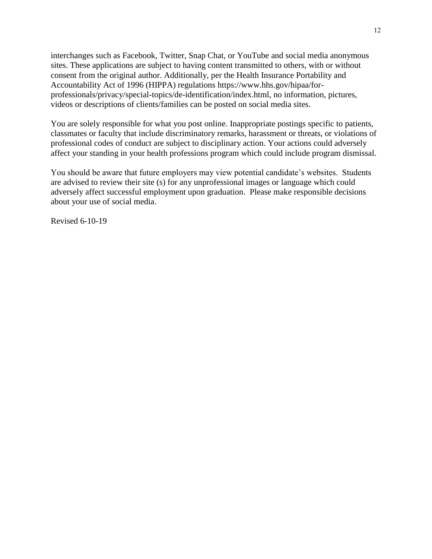interchanges such as Facebook, Twitter, Snap Chat, or YouTube and social media anonymous sites. These applications are subject to having content transmitted to others, with or without consent from the original author. Additionally, per the Health Insurance Portability and Accountability Act of 1996 (HIPPA) regulations https://www.hhs.gov/hipaa/forprofessionals/privacy/special-topics/de-identification/index.html, no information, pictures, videos or descriptions of clients/families can be posted on social media sites.

You are solely responsible for what you post online. Inappropriate postings specific to patients, classmates or faculty that include discriminatory remarks, harassment or threats, or violations of professional codes of conduct are subject to disciplinary action. Your actions could adversely affect your standing in your health professions program which could include program dismissal.

You should be aware that future employers may view potential candidate's websites. Students are advised to review their site (s) for any unprofessional images or language which could adversely affect successful employment upon graduation. Please make responsible decisions about your use of social media.

Revised 6-10-19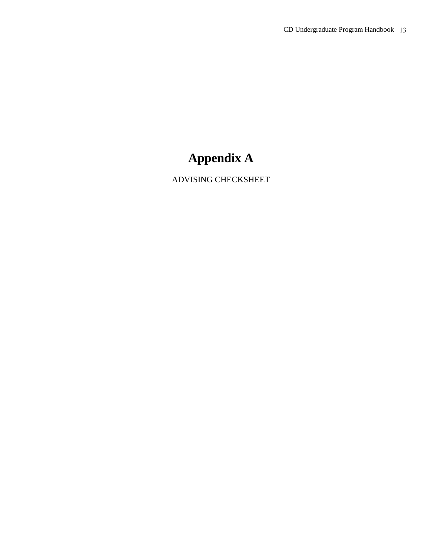### **Appendix A**

ADVISING CHECKSHEET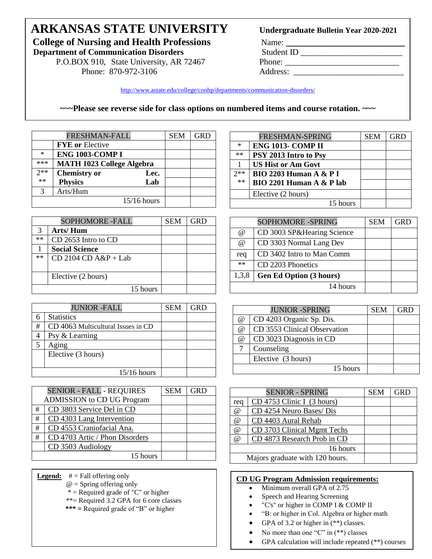## **ARKANSAS STATE UNIVERSITY College of Nursing and Health Professions** Name: **\_\_\_\_\_\_\_\_\_\_\_\_\_\_\_\_\_\_\_\_\_\_\_\_\_\_\_\_\_\_**<br>Department of Communication Disorders Student ID

**Department of Communication Disorders** 

P.O.BOX 910, State University, AR 72467 Phone: \_\_\_\_\_\_\_\_\_\_\_\_\_\_\_\_\_\_\_\_\_\_\_\_\_\_\_\_\_\_\_\_\_ Phone: 870-972-3106 Address: \_\_\_\_\_\_\_\_\_\_\_\_\_\_\_\_\_\_\_\_\_\_\_\_\_\_

#### Undergraduate Bulletin Year 2020-2021

<http://www.astate.edu/college/conhp/departments/communication-disorders/>

**~~~Please see reverse side for class options on numbered items and course rotation. ~~~**

|        | FRESHMAN-FALL                    |      | <b>SEM</b> | <b>GRD</b> |
|--------|----------------------------------|------|------------|------------|
|        | <b>FYE</b> or Elective           |      |            |            |
| $\ast$ | <b>ENG 1003-COMP I</b>           |      |            |            |
| ***    | <b>MATH 1023 College Algebra</b> |      |            |            |
| $2**$  | <b>Chemistry or</b>              | Lec. |            |            |
| $**$   | <b>Physics</b>                   | Lab  |            |            |
| 3      | Arts/Hum                         |      |            |            |
|        | 15/16 hours                      |      |            |            |

| <b>SOPHOMORE -FALL</b>   | <b>SEM</b> | GRD |
|--------------------------|------------|-----|
| Arts/Hum                 |            |     |
| CD 2653 Intro to CD      |            |     |
| <b>Social Science</b>    |            |     |
| $CD$ 2104 $CD$ A&P + Lab |            |     |
|                          |            |     |
| Elective (2 hours)       |            |     |
| 15 hours                 |            |     |
|                          |            |     |

|   | <b>JUNIOR -FALL</b>                | <b>SEM</b> | GRD |
|---|------------------------------------|------------|-----|
|   | <b>Statistics</b>                  |            |     |
| # | CD 4063 Multicultural Issues in CD |            |     |
|   | Psy & Learning                     |            |     |
| 5 | Aging                              |            |     |
|   | Elective (3 hours)                 |            |     |
|   |                                    |            |     |
|   | $15/16$ hours                      |            |     |

|   | <b>SENIOR - FALL - REQUIRES</b>   | <b>SEM</b> | <b>GRD</b> |
|---|-----------------------------------|------------|------------|
|   | <b>ADMISSION</b> to CD UG Program |            |            |
| # | CD 3803 Service Del in CD         |            |            |
| # | CD 4303 Lang Intervention         |            |            |
| # | CD 4553 Craniofacial Ana.         |            |            |
| # | CD 4703 Artic / Phon Disorders    |            |            |
|   | CD 3503 Audiology                 |            |            |
|   | 15 hours                          |            |            |

- **Legend:** # = Fall offering only
	- $@ =$  Spring offering only
	- \* = Required grade of "C" or higher
	- \*\*= Required 3.2 GPA for 6 core classes
	- **\*\*\* =** Required grade of "B" or higher

|          | FRESHMAN-SPRING                   | <b>SEM</b> | <b>GRD</b> |
|----------|-----------------------------------|------------|------------|
| $\ast$   | ENG 1013- COMP II                 |            |            |
| $**$     | PSY 2013 Intro to Psy             |            |            |
|          | <b>US Hist or Am Govt</b>         |            |            |
| つ**      | <b>BIO 2203 Human A &amp; P I</b> |            |            |
| **       | BIO 2201 Human A & P lab          |            |            |
|          | Elective (2 hours)                |            |            |
| 15 hours |                                   |            |            |
|          |                                   |            |            |

|          | <b>SOPHOMORE -SPRING</b>       | <b>SEM</b> | GRD |
|----------|--------------------------------|------------|-----|
| @        | CD 3003 SP&Hearing Science     |            |     |
| $\omega$ | CD 3303 Normal Lang Dev        |            |     |
| req      | CD 3402 Intro to Man Comm      |            |     |
| **       | CD 2203 Phonetics              |            |     |
| 1,3,8    | <b>Gen Ed Option (3 hours)</b> |            |     |
|          | 14 hours                       |            |     |

|          | <b>JUNIOR -SPRING</b>        | <b>SEM</b> | <b>GRD</b> |
|----------|------------------------------|------------|------------|
| @        | CD 4203 Organic Sp. Dis.     |            |            |
| $\omega$ | CD 3553 Clinical Observation |            |            |
| $\omega$ | CD 3023 Diagnosis in CD      |            |            |
|          | Counseling                   |            |            |
|          | Elective (3 hours)           |            |            |
|          | 15 hours                     |            |            |

|                | <b>SENIOR - SPRING</b>          | <b>SEM</b> | <b>GRD</b> |
|----------------|---------------------------------|------------|------------|
| req            | $CD$ 4753 Clinic I (3 hours)    |            |            |
| $\omega$       | CD 4254 Neuro Bases/ Dis        |            |            |
| @              | CD 4403 Aural Rehab             |            |            |
| @              | CD 3703 Clinical Mgmt Techs     |            |            |
| $\overline{a}$ | CD 4873 Research Prob in CD     |            |            |
|                | 16 hours                        |            |            |
|                | Majors graduate with 120 hours. |            |            |

#### **CD UG Program Admission requirements:**

- Minimum overall GPA of 2.75
- Speech and Hearing Screening
- "C's" or higher in COMP I & COMP II
- "B: or higher in Col. Algebra or higher math
- GPA of 3.2 or higher in  $(**)$  classes.
- No more than one "C" in  $(**)$  classes
- GPA calculation will include repeated (\*\*) courses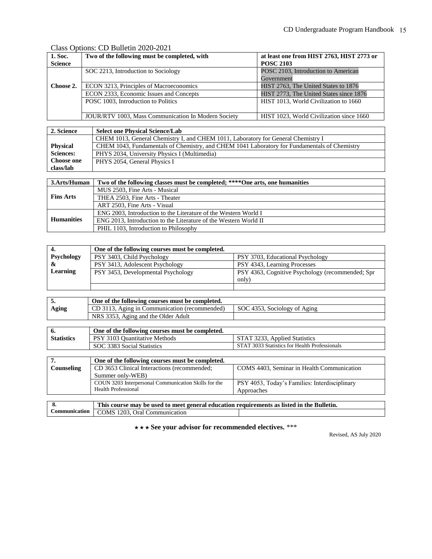#### Class Options: CD Bulletin 2020-2021

| 1. Soc.                             | Two of the following must be completed, with        | at least one from HIST 2763, HIST 2773 or |
|-------------------------------------|-----------------------------------------------------|-------------------------------------------|
| <b>Science</b>                      |                                                     | <b>POSC 2103</b>                          |
|                                     | SOC 2213, Introduction to Sociology                 | POSC 2103, Introduction to American       |
|                                     |                                                     | Government                                |
| Choose 2.                           | ECON 3213, Principles of Macroeconomics             | HIST 2763, The United States to 1876      |
|                                     | ECON 2333, Economic Issues and Concepts             | HIST 2773, The United States since 1876   |
| POSC 1003, Introduction to Politics |                                                     | HIST 1013, World Civilization to 1660     |
|                                     |                                                     |                                           |
|                                     | JOUR/RTV 1003, Mass Communication In Modern Society | HIST 1023. World Civilization since 1660  |

| 2. Science       | <b>Select one Physical Science/Lab</b>                                                       |
|------------------|----------------------------------------------------------------------------------------------|
|                  | CHEM 1013, General Chemistry I, and CHEM 1011, Laboratory for General Chemistry I            |
| <b>Physical</b>  | CHEM 1043, Fundamentals of Chemistry, and CHEM 1041 Laboratory for Fundamentals of Chemistry |
| <b>Sciences:</b> | PHYS 2034, University Physics I (Multimedia)                                                 |
| Choose one       | PHYS 2054, General Physics I                                                                 |
| class/lab        |                                                                                              |

| 3.Arts/Human      | Two of the following classes must be completed; ****One arts, one humanities |  |
|-------------------|------------------------------------------------------------------------------|--|
| <b>Fins Arts</b>  | MUS 2503, Fine Arts - Musical                                                |  |
|                   | THEA 2503. Fine Arts - Theater                                               |  |
|                   | ART 2503. Fine Arts - Visual                                                 |  |
|                   | ENG 2003, Introduction to the Literature of the Western World I              |  |
| <b>Humanities</b> | ENG 2013, Introduction to the Literature of the Western World II             |  |
|                   | PHIL 1103, Introduction to Philosophy                                        |  |

|                   | One of the following courses must be completed. |                                                  |  |
|-------------------|-------------------------------------------------|--------------------------------------------------|--|
| <b>Psychology</b> | PSY 3403, Child Psychology                      | PSY 3703, Educational Psychology                 |  |
|                   | PSY 3413, Adolescent Psychology                 | PSY 4343, Learning Processes                     |  |
| Learning          | PSY 3453, Developmental Psychology              | PSY 4363, Cognitive Psychology (recommended; Spr |  |
|                   |                                                 | (only                                            |  |
|                   |                                                 |                                                  |  |

|       | One of the following courses must be completed. |                              |
|-------|-------------------------------------------------|------------------------------|
| Aging | CD 3113, Aging in Communication (recommended)   | SOC 4353, Sociology of Aging |
|       | NRS 3353, Aging and the Older Adult             |                              |

|                   | One of the following courses must be completed. |                                               |  |
|-------------------|-------------------------------------------------|-----------------------------------------------|--|
| <b>Statistics</b> | PSY 3103 Quantitative Methods                   | STAT 3233, Applied Statistics                 |  |
|                   | SOC 3383 Social Statistics                      | STAT 3033 Statistics for Health Professionals |  |
|                   |                                                 |                                               |  |

|            | One of the following courses must be completed.      |                                               |  |
|------------|------------------------------------------------------|-----------------------------------------------|--|
| Counseling | CD 3653 Clinical Interactions (recommended;          | COMS 4403, Seminar in Health Communication    |  |
|            | Summer only-WEB)                                     |                                               |  |
|            | COUN 3203 Interpersonal Communication Skills for the | PSY 4053, Today's Families: Interdisciplinary |  |
|            | Health Professional                                  | Approaches                                    |  |
|            |                                                      |                                               |  |

| This course may be used to meet general education requirements as listed in the Bulletin. |  |  |
|-------------------------------------------------------------------------------------------|--|--|
| Communication COMS 1203, Oral Communication                                               |  |  |

⋆ ⋆ ⋆ **See your advisor for recommended electives.** \*\*\*

Revised, AS July 2020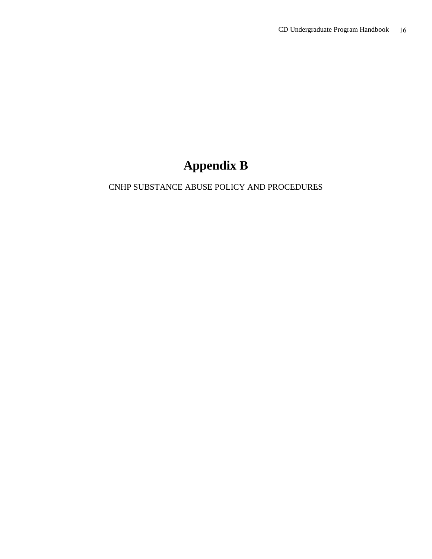## **Appendix B**

### CNHP SUBSTANCE ABUSE POLICY AND PROCEDURES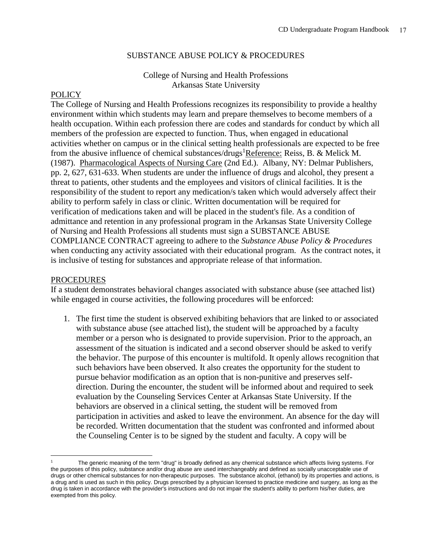#### SUBSTANCE ABUSE POLICY & PROCEDURES

#### College of Nursing and Health Professions Arkansas State University

#### **POLICY**

The College of Nursing and Health Professions recognizes its responsibility to provide a healthy environment within which students may learn and prepare themselves to become members of a health occupation. Within each profession there are codes and standards for conduct by which all members of the profession are expected to function. Thus, when engaged in educational activities whether on campus or in the clinical setting health professionals are expected to be free from the abusive influence of chemical substances/drugs<sup>1</sup>Reference: Reiss, B. & Melick M. (1987). Pharmacological Aspects of Nursing Care (2nd Ed.). Albany, NY: Delmar Publishers, pp. 2, 627, 631-633. When students are under the influence of drugs and alcohol, they present a threat to patients, other students and the employees and visitors of clinical facilities. It is the responsibility of the student to report any medication/s taken which would adversely affect their ability to perform safely in class or clinic. Written documentation will be required for verification of medications taken and will be placed in the student's file. As a condition of admittance and retention in any professional program in the Arkansas State University College of Nursing and Health Professions all students must sign a SUBSTANCE ABUSE COMPLIANCE CONTRACT agreeing to adhere to the *Substance Abuse Policy & Procedures* when conducting any activity associated with their educational program. As the contract notes, it is inclusive of testing for substances and appropriate release of that information.

#### PROCEDURES

 $\overline{a}$ 

If a student demonstrates behavioral changes associated with substance abuse (see attached list) while engaged in course activities, the following procedures will be enforced:

1. The first time the student is observed exhibiting behaviors that are linked to or associated with substance abuse (see attached list), the student will be approached by a faculty member or a person who is designated to provide supervision. Prior to the approach, an assessment of the situation is indicated and a second observer should be asked to verify the behavior. The purpose of this encounter is multifold. It openly allows recognition that such behaviors have been observed. It also creates the opportunity for the student to pursue behavior modification as an option that is non-punitive and preserves selfdirection. During the encounter, the student will be informed about and required to seek evaluation by the Counseling Services Center at Arkansas State University. If the behaviors are observed in a clinical setting, the student will be removed from participation in activities and asked to leave the environment. An absence for the day will be recorded. Written documentation that the student was confronted and informed about the Counseling Center is to be signed by the student and faculty. A copy will be

The generic meaning of the term "drug" is broadly defined as any chemical substance which affects living systems. For the purposes of this policy, substance and/or drug abuse are used interchangeably and defined as socially unacceptable use of drugs or other chemical substances for non-therapeutic purposes. The substance alcohol, (ethanol) by its properties and actions, is a drug and is used as such in this policy. Drugs prescribed by a physician licensed to practice medicine and surgery, as long as the drug is taken in accordance with the provider's instructions and do not impair the student's ability to perform his/her duties, are exempted from this policy.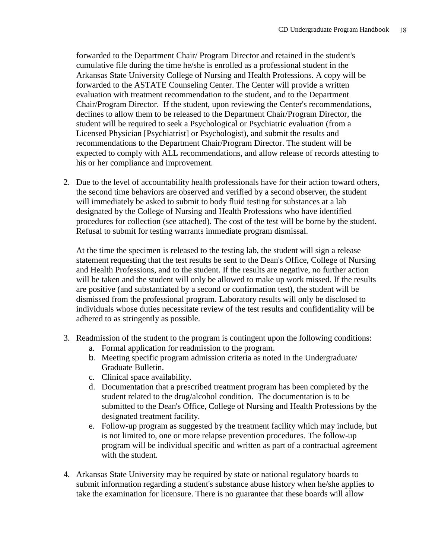forwarded to the Department Chair/ Program Director and retained in the student's cumulative file during the time he/she is enrolled as a professional student in the Arkansas State University College of Nursing and Health Professions. A copy will be forwarded to the ASTATE Counseling Center. The Center will provide a written evaluation with treatment recommendation to the student, and to the Department Chair/Program Director. If the student, upon reviewing the Center's recommendations, declines to allow them to be released to the Department Chair/Program Director, the student will be required to seek a Psychological or Psychiatric evaluation (from a Licensed Physician [Psychiatrist] or Psychologist), and submit the results and recommendations to the Department Chair/Program Director. The student will be expected to comply with ALL recommendations, and allow release of records attesting to his or her compliance and improvement.

2. Due to the level of accountability health professionals have for their action toward others, the second time behaviors are observed and verified by a second observer, the student will immediately be asked to submit to body fluid testing for substances at a lab designated by the College of Nursing and Health Professions who have identified procedures for collection (see attached). The cost of the test will be borne by the student. Refusal to submit for testing warrants immediate program dismissal.

At the time the specimen is released to the testing lab, the student will sign a release statement requesting that the test results be sent to the Dean's Office, College of Nursing and Health Professions, and to the student. If the results are negative, no further action will be taken and the student will only be allowed to make up work missed. If the results are positive (and substantiated by a second or confirmation test), the student will be dismissed from the professional program. Laboratory results will only be disclosed to individuals whose duties necessitate review of the test results and confidentiality will be adhered to as stringently as possible.

- 3. Readmission of the student to the program is contingent upon the following conditions:
	- a. Formal application for readmission to the program.
	- b. Meeting specific program admission criteria as noted in the Undergraduate/ Graduate Bulletin.
	- c. Clinical space availability.
	- d. Documentation that a prescribed treatment program has been completed by the student related to the drug/alcohol condition. The documentation is to be submitted to the Dean's Office, College of Nursing and Health Professions by the designated treatment facility.
	- e. Follow-up program as suggested by the treatment facility which may include, but is not limited to, one or more relapse prevention procedures. The follow-up program will be individual specific and written as part of a contractual agreement with the student.
- 4. Arkansas State University may be required by state or national regulatory boards to submit information regarding a student's substance abuse history when he/she applies to take the examination for licensure. There is no guarantee that these boards will allow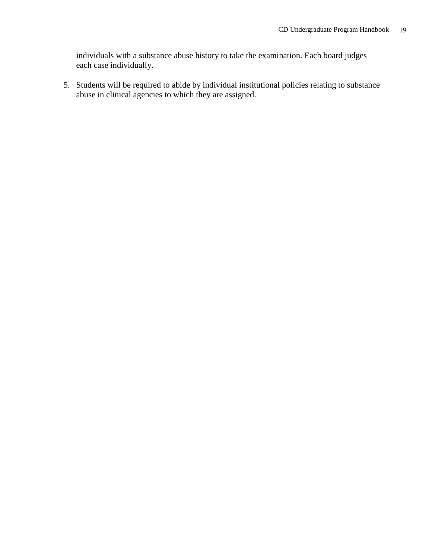individuals with a substance abuse history to take the examination. Each board judges each case individually.

5. Students will be required to abide by individual institutional policies relating to substance abuse in clinical agencies to which they are assigned.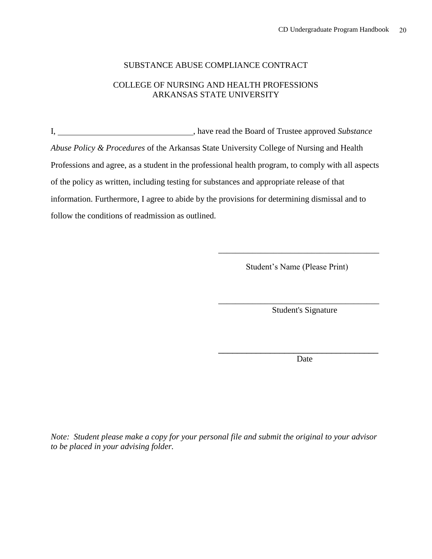#### SUBSTANCE ABUSE COMPLIANCE CONTRACT

#### COLLEGE OF NURSING AND HEALTH PROFESSIONS ARKANSAS STATE UNIVERSITY

I, , have read the Board of Trustee approved *Substance Abuse Policy & Procedures* of the Arkansas State University College of Nursing and Health Professions and agree, as a student in the professional health program, to comply with all aspects of the policy as written, including testing for substances and appropriate release of that information. Furthermore, I agree to abide by the provisions for determining dismissal and to follow the conditions of readmission as outlined.

Student's Name (Please Print)

\_\_\_\_\_\_\_\_\_\_\_\_\_\_\_\_\_\_\_\_\_\_\_\_\_\_\_\_\_\_\_\_\_\_\_\_\_\_

Student's Signature

\_\_\_\_\_\_\_\_\_\_\_\_\_\_\_\_\_\_\_\_\_\_\_\_\_\_\_\_\_\_\_\_\_\_\_\_\_\_

Date

\_\_\_\_\_\_\_\_\_\_\_\_\_\_\_\_\_\_\_\_\_\_\_\_\_\_\_\_\_\_\_\_\_\_

*Note: Student please make a copy for your personal file and submit the original to your advisor to be placed in your advising folder.*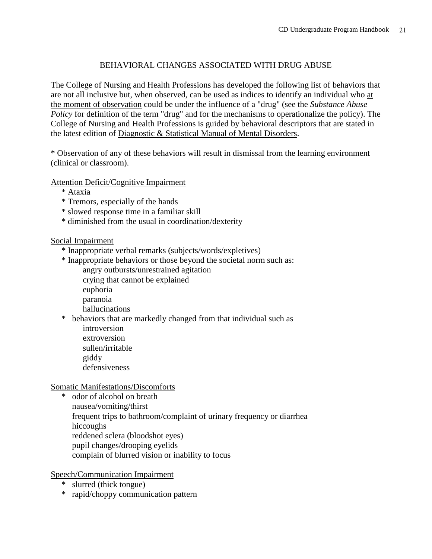#### BEHAVIORAL CHANGES ASSOCIATED WITH DRUG ABUSE

The College of Nursing and Health Professions has developed the following list of behaviors that are not all inclusive but, when observed, can be used as indices to identify an individual who at the moment of observation could be under the influence of a "drug" (see the *Substance Abuse Policy* for definition of the term "drug" and for the mechanisms to operationalize the policy). The College of Nursing and Health Professions is guided by behavioral descriptors that are stated in the latest edition of Diagnostic & Statistical Manual of Mental Disorders.

\* Observation of any of these behaviors will result in dismissal from the learning environment (clinical or classroom).

Attention Deficit/Cognitive Impairment

- \* Ataxia
- \* Tremors, especially of the hands
- \* slowed response time in a familiar skill
- \* diminished from the usual in coordination/dexterity

#### Social Impairment

- \* Inappropriate verbal remarks (subjects/words/expletives)
- \* Inappropriate behaviors or those beyond the societal norm such as: angry outbursts/unrestrained agitation crying that cannot be explained
	- euphoria
	- paranoia
	- hallucinations
- \* behaviors that are markedly changed from that individual such as introversion extroversion
	- sullen/irritable
	- giddy
	- defensiveness

Somatic Manifestations/Discomforts

\* odor of alcohol on breath nausea/vomiting/thirst frequent trips to bathroom/complaint of urinary frequency or diarrhea hiccoughs reddened sclera (bloodshot eyes) pupil changes/drooping eyelids complain of blurred vision or inability to focus

Speech/Communication Impairment

- \* slurred (thick tongue)
- \* rapid/choppy communication pattern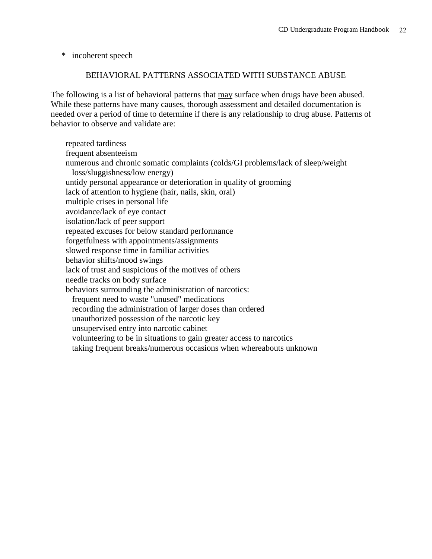\* incoherent speech

#### BEHAVIORAL PATTERNS ASSOCIATED WITH SUBSTANCE ABUSE

The following is a list of behavioral patterns that may surface when drugs have been abused. While these patterns have many causes, thorough assessment and detailed documentation is needed over a period of time to determine if there is any relationship to drug abuse. Patterns of behavior to observe and validate are:

 repeated tardiness frequent absenteeism numerous and chronic somatic complaints (colds/GI problems/lack of sleep/weight loss/sluggishness/low energy) untidy personal appearance or deterioration in quality of grooming lack of attention to hygiene (hair, nails, skin, oral) multiple crises in personal life avoidance/lack of eye contact isolation/lack of peer support repeated excuses for below standard performance forgetfulness with appointments/assignments slowed response time in familiar activities behavior shifts/mood swings lack of trust and suspicious of the motives of others needle tracks on body surface behaviors surrounding the administration of narcotics: frequent need to waste "unused" medications recording the administration of larger doses than ordered unauthorized possession of the narcotic key unsupervised entry into narcotic cabinet volunteering to be in situations to gain greater access to narcotics taking frequent breaks/numerous occasions when whereabouts unknown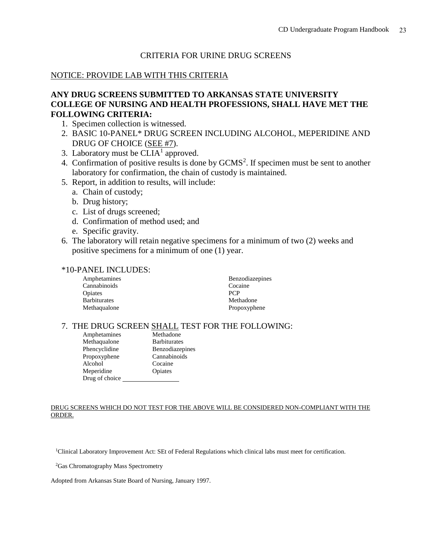#### CRITERIA FOR URINE DRUG SCREENS

#### NOTICE: PROVIDE LAB WITH THIS CRITERIA

#### **ANY DRUG SCREENS SUBMITTED TO ARKANSAS STATE UNIVERSITY COLLEGE OF NURSING AND HEALTH PROFESSIONS, SHALL HAVE MET THE FOLLOWING CRITERIA:**

- 1. Specimen collection is witnessed.
- 2. BASIC 10-PANEL\* DRUG SCREEN INCLUDING ALCOHOL, MEPERIDINE AND DRUG OF CHOICE (SEE #7).
- 3. Laboratory must be  $CLIA<sup>1</sup>$  approved.
- 4. Confirmation of positive results is done by GCMS<sup>2</sup>. If specimen must be sent to another laboratory for confirmation, the chain of custody is maintained.
- 5. Report, in addition to results, will include:
	- a. Chain of custody;
	- b. Drug history;
	- c. List of drugs screened;
	- d. Confirmation of method used; and
	- e. Specific gravity.
- 6. The laboratory will retain negative specimens for a minimum of two (2) weeks and positive specimens for a minimum of one (1) year.

#### \*10-PANEL INCLUDES:

| Amphetamines        | <b>Benzodiazepines</b> |
|---------------------|------------------------|
| Cannabinoids        | Cocaine                |
| Opiates             | <b>PCP</b>             |
| <b>Barbiturates</b> | Methadone              |
| Methaqualone        | Propoxyphene           |

#### 7. THE DRUG SCREEN SHALL TEST FOR THE FOLLOWING:

| Amphetamines   | Methadone           |
|----------------|---------------------|
| Methaqualone   | <b>Barbiturates</b> |
| Phencyclidine  | Benzodiazepines     |
| Propoxyphene   | Cannabinoids        |
| Alcohol        | Cocaine             |
| Meperidine     | Opiates             |
| Drug of choice |                     |

#### DRUG SCREENS WHICH DO NOT TEST FOR THE ABOVE WILL BE CONSIDERED NON-COMPLIANT WITH THE ORDER.

<sup>1</sup>Clinical Laboratory Improvement Act: SEt of Federal Regulations which clinical labs must meet for certification.

<sup>2</sup>Gas Chromatography Mass Spectrometry

Adopted from Arkansas State Board of Nursing, January 1997.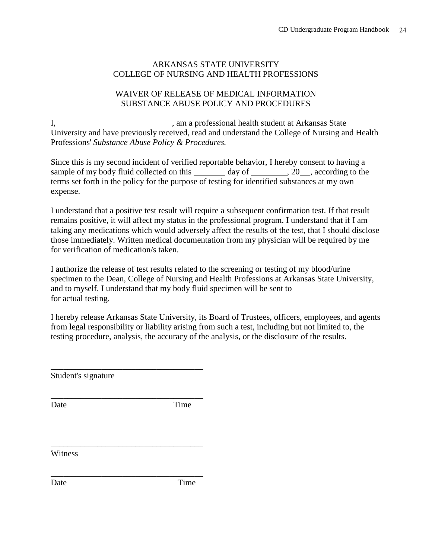#### ARKANSAS STATE UNIVERSITY COLLEGE OF NURSING AND HEALTH PROFESSIONS

#### WAIVER OF RELEASE OF MEDICAL INFORMATION SUBSTANCE ABUSE POLICY AND PROCEDURES

I, 1. Communication and the student at Arkansas State University and have previously received, read and understand the College of Nursing and Health Professions' *Substance Abuse Policy & Procedures.*

Since this is my second incident of verified reportable behavior, I hereby consent to having a sample of my body fluid collected on this day of , 20, according to the terms set forth in the policy for the purpose of testing for identified substances at my own expense.

I understand that a positive test result will require a subsequent confirmation test. If that result remains positive, it will affect my status in the professional program. I understand that if I am taking any medications which would adversely affect the results of the test, that I should disclose those immediately. Written medical documentation from my physician will be required by me for verification of medication/s taken.

I authorize the release of test results related to the screening or testing of my blood/urine specimen to the Dean, College of Nursing and Health Professions at Arkansas State University, and to myself. I understand that my body fluid specimen will be sent to for actual testing.

I hereby release Arkansas State University, its Board of Trustees, officers, employees, and agents from legal responsibility or liability arising from such a test, including but not limited to, the testing procedure, analysis, the accuracy of the analysis, or the disclosure of the results.

Student's signature

\_\_\_\_\_\_\_\_\_\_\_\_\_\_\_\_\_\_\_\_\_\_\_\_\_\_\_\_\_\_\_\_\_\_\_\_

\_\_\_\_\_\_\_\_\_\_\_\_\_\_\_\_\_\_\_\_\_\_\_\_\_\_\_\_\_\_\_\_\_\_\_\_

\_\_\_\_\_\_\_\_\_\_\_\_\_\_\_\_\_\_\_\_\_\_\_\_\_\_\_\_\_\_\_\_\_\_\_\_

\_\_\_\_\_\_\_\_\_\_\_\_\_\_\_\_\_\_\_\_\_\_\_\_\_\_\_\_\_\_\_\_\_\_\_\_

Date Time

**Witness** 

Date Time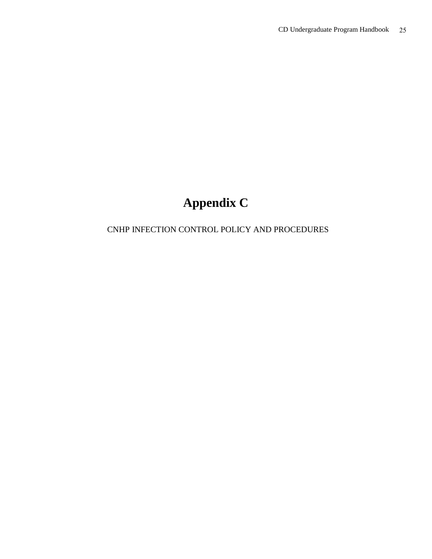## **Appendix C**

### CNHP INFECTION CONTROL POLICY AND PROCEDURES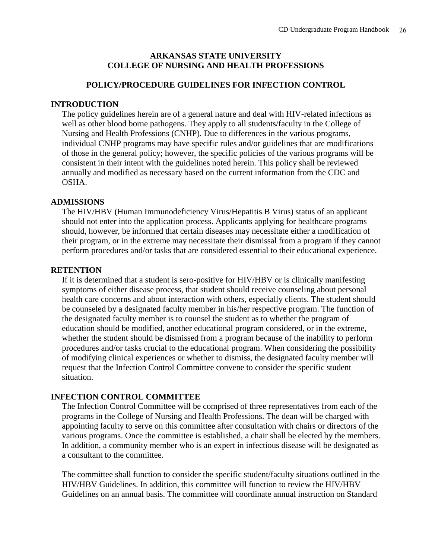#### **ARKANSAS STATE UNIVERSITY COLLEGE OF NURSING AND HEALTH PROFESSIONS**

#### **POLICY/PROCEDURE GUIDELINES FOR INFECTION CONTROL**

#### **INTRODUCTION**

The policy guidelines herein are of a general nature and deal with HIV-related infections as well as other blood borne pathogens. They apply to all students/faculty in the College of Nursing and Health Professions (CNHP). Due to differences in the various programs, individual CNHP programs may have specific rules and/or guidelines that are modifications of those in the general policy; however, the specific policies of the various programs will be consistent in their intent with the guidelines noted herein. This policy shall be reviewed annually and modified as necessary based on the current information from the CDC and OSHA.

#### **ADMISSIONS**

The HIV/HBV (Human Immunodeficiency Virus/Hepatitis B Virus) status of an applicant should not enter into the application process. Applicants applying for healthcare programs should, however, be informed that certain diseases may necessitate either a modification of their program, or in the extreme may necessitate their dismissal from a program if they cannot perform procedures and/or tasks that are considered essential to their educational experience.

#### **RETENTION**

If it is determined that a student is sero-positive for HIV/HBV or is clinically manifesting symptoms of either disease process, that student should receive counseling about personal health care concerns and about interaction with others, especially clients. The student should be counseled by a designated faculty member in his/her respective program. The function of the designated faculty member is to counsel the student as to whether the program of education should be modified, another educational program considered, or in the extreme, whether the student should be dismissed from a program because of the inability to perform procedures and/or tasks crucial to the educational program. When considering the possibility of modifying clinical experiences or whether to dismiss, the designated faculty member will request that the Infection Control Committee convene to consider the specific student situation.

#### **INFECTION CONTROL COMMITTEE**

The Infection Control Committee will be comprised of three representatives from each of the programs in the College of Nursing and Health Professions. The dean will be charged with appointing faculty to serve on this committee after consultation with chairs or directors of the various programs. Once the committee is established, a chair shall be elected by the members. In addition, a community member who is an expert in infectious disease will be designated as a consultant to the committee.

The committee shall function to consider the specific student/faculty situations outlined in the HIV/HBV Guidelines. In addition, this committee will function to review the HIV/HBV Guidelines on an annual basis. The committee will coordinate annual instruction on Standard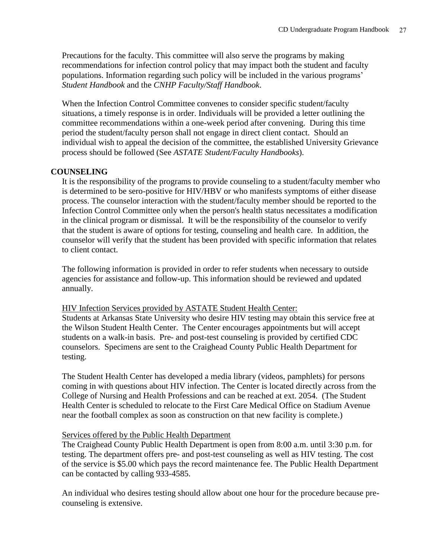Precautions for the faculty. This committee will also serve the programs by making recommendations for infection control policy that may impact both the student and faculty populations. Information regarding such policy will be included in the various programs' *Student Handbook* and the *CNHP Faculty/Staff Handbook*.

When the Infection Control Committee convenes to consider specific student/faculty situations, a timely response is in order. Individuals will be provided a letter outlining the committee recommendations within a one-week period after convening. During this time period the student/faculty person shall not engage in direct client contact. Should an individual wish to appeal the decision of the committee, the established University Grievance process should be followed (See *ASTATE Student/Faculty Handbooks*).

#### **COUNSELING**

It is the responsibility of the programs to provide counseling to a student/faculty member who is determined to be sero-positive for HIV/HBV or who manifests symptoms of either disease process. The counselor interaction with the student/faculty member should be reported to the Infection Control Committee only when the person's health status necessitates a modification in the clinical program or dismissal. It will be the responsibility of the counselor to verify that the student is aware of options for testing, counseling and health care. In addition, the counselor will verify that the student has been provided with specific information that relates to client contact.

The following information is provided in order to refer students when necessary to outside agencies for assistance and follow-up. This information should be reviewed and updated annually.

#### HIV Infection Services provided by ASTATE Student Health Center:

Students at Arkansas State University who desire HIV testing may obtain this service free at the Wilson Student Health Center. The Center encourages appointments but will accept students on a walk-in basis. Pre- and post-test counseling is provided by certified CDC counselors. Specimens are sent to the Craighead County Public Health Department for testing.

The Student Health Center has developed a media library (videos, pamphlets) for persons coming in with questions about HIV infection. The Center is located directly across from the College of Nursing and Health Professions and can be reached at ext. 2054. (The Student Health Center is scheduled to relocate to the First Care Medical Office on Stadium Avenue near the football complex as soon as construction on that new facility is complete.)

#### Services offered by the Public Health Department

The Craighead County Public Health Department is open from 8:00 a.m. until 3:30 p.m. for testing. The department offers pre- and post-test counseling as well as HIV testing. The cost of the service is \$5.00 which pays the record maintenance fee. The Public Health Department can be contacted by calling 933-4585.

An individual who desires testing should allow about one hour for the procedure because precounseling is extensive.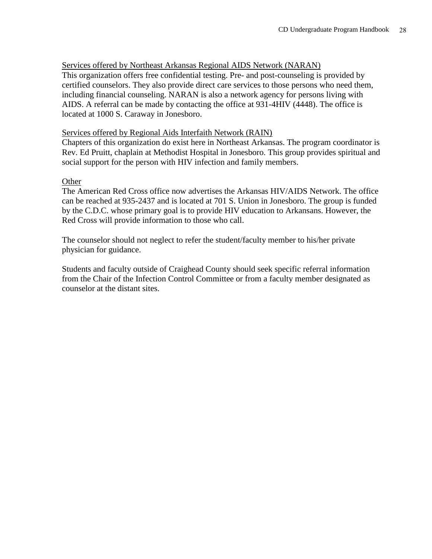#### Services offered by Northeast Arkansas Regional AIDS Network (NARAN)

This organization offers free confidential testing. Pre- and post-counseling is provided by certified counselors. They also provide direct care services to those persons who need them, including financial counseling. NARAN is also a network agency for persons living with AIDS. A referral can be made by contacting the office at 931-4HIV (4448). The office is located at 1000 S. Caraway in Jonesboro.

#### Services offered by Regional Aids Interfaith Network (RAIN)

Chapters of this organization do exist here in Northeast Arkansas. The program coordinator is Rev. Ed Pruitt, chaplain at Methodist Hospital in Jonesboro. This group provides spiritual and social support for the person with HIV infection and family members.

#### **Other**

The American Red Cross office now advertises the Arkansas HIV/AIDS Network. The office can be reached at 935-2437 and is located at 701 S. Union in Jonesboro. The group is funded by the C.D.C. whose primary goal is to provide HIV education to Arkansans. However, the Red Cross will provide information to those who call.

The counselor should not neglect to refer the student/faculty member to his/her private physician for guidance.

Students and faculty outside of Craighead County should seek specific referral information from the Chair of the Infection Control Committee or from a faculty member designated as counselor at the distant sites.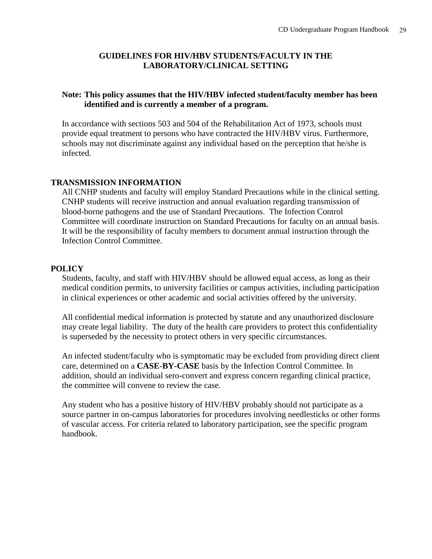#### **GUIDELINES FOR HIV/HBV STUDENTS/FACULTY IN THE LABORATORY/CLINICAL SETTING**

#### **Note: This policy assumes that the HIV/HBV infected student/faculty member has been identified and is currently a member of a program.**

In accordance with sections 503 and 504 of the Rehabilitation Act of 1973, schools must provide equal treatment to persons who have contracted the HIV/HBV virus. Furthermore, schools may not discriminate against any individual based on the perception that he/she is infected.

#### **TRANSMISSION INFORMATION**

All CNHP students and faculty will employ Standard Precautions while in the clinical setting. CNHP students will receive instruction and annual evaluation regarding transmission of blood-borne pathogens and the use of Standard Precautions. The Infection Control Committee will coordinate instruction on Standard Precautions for faculty on an annual basis. It will be the responsibility of faculty members to document annual instruction through the Infection Control Committee.

#### **POLICY**

Students, faculty, and staff with HIV/HBV should be allowed equal access, as long as their medical condition permits, to university facilities or campus activities, including participation in clinical experiences or other academic and social activities offered by the university.

All confidential medical information is protected by statute and any unauthorized disclosure may create legal liability. The duty of the health care providers to protect this confidentiality is superseded by the necessity to protect others in very specific circumstances.

An infected student/faculty who is symptomatic may be excluded from providing direct client care, determined on a **CASE-BY-CASE** basis by the Infection Control Committee. In addition, should an individual sero-convert and express concern regarding clinical practice, the committee will convene to review the case.

Any student who has a positive history of HIV/HBV probably should not participate as a source partner in on-campus laboratories for procedures involving needlesticks or other forms of vascular access. For criteria related to laboratory participation, see the specific program handbook.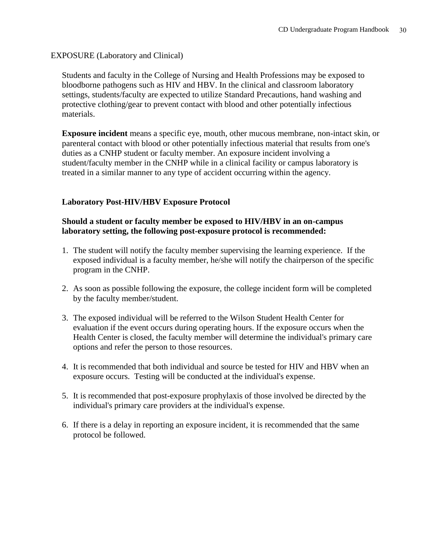#### EXPOSURE (Laboratory and Clinical)

Students and faculty in the College of Nursing and Health Professions may be exposed to bloodborne pathogens such as HIV and HBV. In the clinical and classroom laboratory settings, students/faculty are expected to utilize Standard Precautions, hand washing and protective clothing/gear to prevent contact with blood and other potentially infectious materials.

**Exposure incident** means a specific eye, mouth, other mucous membrane, non-intact skin, or parenteral contact with blood or other potentially infectious material that results from one's duties as a CNHP student or faculty member. An exposure incident involving a student/faculty member in the CNHP while in a clinical facility or campus laboratory is treated in a similar manner to any type of accident occurring within the agency.

#### **Laboratory Post-HIV/HBV Exposure Protocol**

#### **Should a student or faculty member be exposed to HIV/HBV in an on-campus laboratory setting, the following post-exposure protocol is recommended:**

- 1. The student will notify the faculty member supervising the learning experience. If the exposed individual is a faculty member, he/she will notify the chairperson of the specific program in the CNHP.
- 2. As soon as possible following the exposure, the college incident form will be completed by the faculty member/student.
- 3. The exposed individual will be referred to the Wilson Student Health Center for evaluation if the event occurs during operating hours. If the exposure occurs when the Health Center is closed, the faculty member will determine the individual's primary care options and refer the person to those resources.
- 4. It is recommended that both individual and source be tested for HIV and HBV when an exposure occurs. Testing will be conducted at the individual's expense.
- 5. It is recommended that post-exposure prophylaxis of those involved be directed by the individual's primary care providers at the individual's expense.
- 6. If there is a delay in reporting an exposure incident, it is recommended that the same protocol be followed.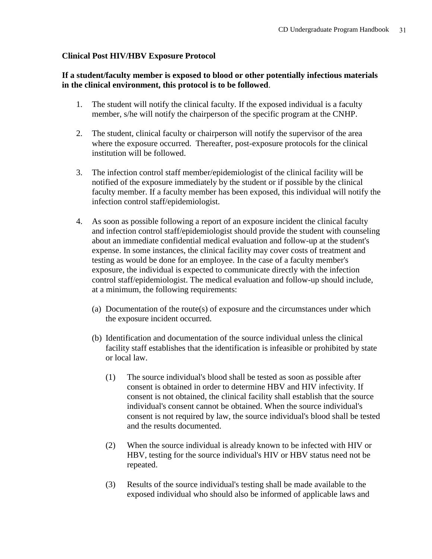#### **Clinical Post HIV/HBV Exposure Protocol**

#### **If a student/faculty member is exposed to blood or other potentially infectious materials in the clinical environment, this protocol is to be followed**.

- 1. The student will notify the clinical faculty. If the exposed individual is a faculty member, s/he will notify the chairperson of the specific program at the CNHP.
- 2. The student, clinical faculty or chairperson will notify the supervisor of the area where the exposure occurred. Thereafter, post-exposure protocols for the clinical institution will be followed.
- 3. The infection control staff member/epidemiologist of the clinical facility will be notified of the exposure immediately by the student or if possible by the clinical faculty member. If a faculty member has been exposed, this individual will notify the infection control staff/epidemiologist.
- 4. As soon as possible following a report of an exposure incident the clinical faculty and infection control staff/epidemiologist should provide the student with counseling about an immediate confidential medical evaluation and follow-up at the student's expense. In some instances, the clinical facility may cover costs of treatment and testing as would be done for an employee. In the case of a faculty member's exposure, the individual is expected to communicate directly with the infection control staff/epidemiologist. The medical evaluation and follow-up should include, at a minimum, the following requirements:
	- (a) Documentation of the route(s) of exposure and the circumstances under which the exposure incident occurred.
	- (b) Identification and documentation of the source individual unless the clinical facility staff establishes that the identification is infeasible or prohibited by state or local law.
		- (1) The source individual's blood shall be tested as soon as possible after consent is obtained in order to determine HBV and HIV infectivity. If consent is not obtained, the clinical facility shall establish that the source individual's consent cannot be obtained. When the source individual's consent is not required by law, the source individual's blood shall be tested and the results documented.
		- (2) When the source individual is already known to be infected with HIV or HBV, testing for the source individual's HIV or HBV status need not be repeated.
		- (3) Results of the source individual's testing shall be made available to the exposed individual who should also be informed of applicable laws and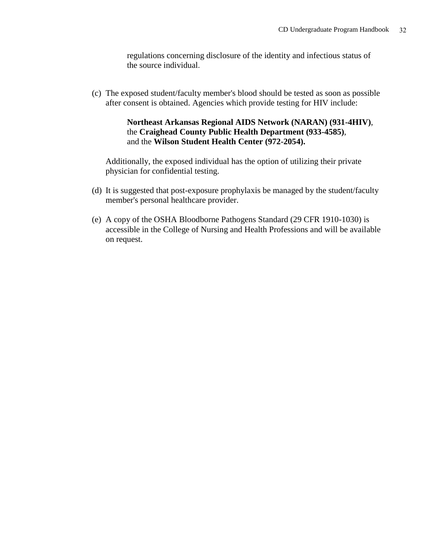regulations concerning disclosure of the identity and infectious status of the source individual.

(c) The exposed student/faculty member's blood should be tested as soon as possible after consent is obtained. Agencies which provide testing for HIV include:

#### **Northeast Arkansas Regional AIDS Network (NARAN) (931-4HIV)**, the **Craighead County Public Health Department (933-4585)**, and the **Wilson Student Health Center (972-2054).**

Additionally, the exposed individual has the option of utilizing their private physician for confidential testing.

- (d) It is suggested that post-exposure prophylaxis be managed by the student/faculty member's personal healthcare provider.
- (e) A copy of the OSHA Bloodborne Pathogens Standard (29 CFR 1910-1030) is accessible in the College of Nursing and Health Professions and will be available on request.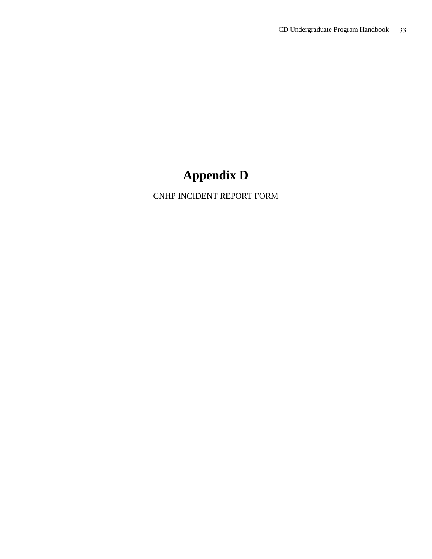## **Appendix D**

CNHP INCIDENT REPORT FORM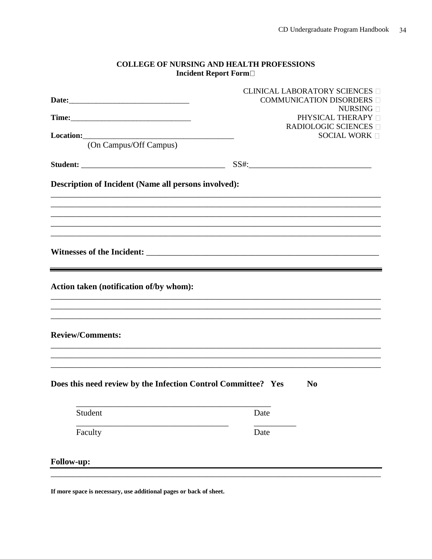#### **COLLEGE OF NURSING AND HEALTH PROFESSIONS** Incident Report Form

|                                                                                                                                                             |      | <b>CLINICAL LABORATORY SCIENCES</b><br>COMMUNICATION DISORDERS |
|-------------------------------------------------------------------------------------------------------------------------------------------------------------|------|----------------------------------------------------------------|
|                                                                                                                                                             |      | NURSING $\Box$                                                 |
|                                                                                                                                                             |      | PHYSICAL THERAPY <sup>[]</sup>                                 |
|                                                                                                                                                             |      | <b>RADIOLOGIC SCIENCES</b> □<br>SOCIAL WORK                    |
| (On Campus/Off Campus)                                                                                                                                      |      |                                                                |
|                                                                                                                                                             |      |                                                                |
|                                                                                                                                                             |      |                                                                |
| <b>Description of Incident (Name all persons involved):</b>                                                                                                 |      |                                                                |
|                                                                                                                                                             |      |                                                                |
| Action taken (notification of/by whom):<br>and the control of the control of the control of the control of the control of the control of the control of the |      |                                                                |
| <b>Review/Comments:</b>                                                                                                                                     |      |                                                                |
| Does this need review by the Infection Control Committee? Yes                                                                                               |      | N <sub>0</sub>                                                 |
| Student                                                                                                                                                     | Date |                                                                |
| Faculty                                                                                                                                                     | Date |                                                                |
| Follow-up:                                                                                                                                                  |      |                                                                |

If more space is necessary, use additional pages or back of sheet.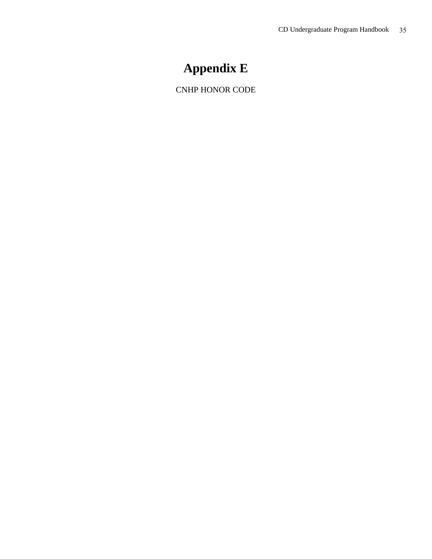### **Appendix E**

CNHP HONOR CODE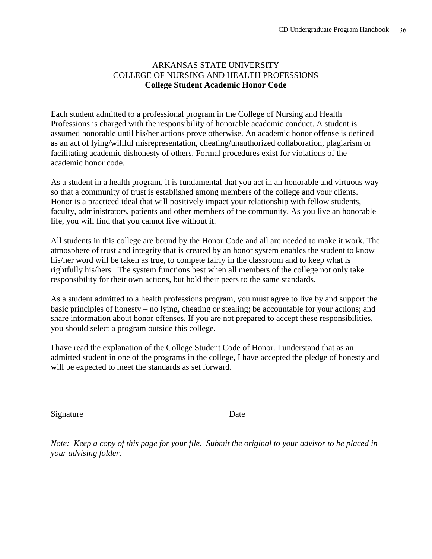#### ARKANSAS STATE UNIVERSITY COLLEGE OF NURSING AND HEALTH PROFESSIONS **College Student Academic Honor Code**

Each student admitted to a professional program in the College of Nursing and Health Professions is charged with the responsibility of honorable academic conduct. A student is assumed honorable until his/her actions prove otherwise. An academic honor offense is defined as an act of lying/willful misrepresentation, cheating/unauthorized collaboration, plagiarism or facilitating academic dishonesty of others. Formal procedures exist for violations of the academic honor code.

As a student in a health program, it is fundamental that you act in an honorable and virtuous way so that a community of trust is established among members of the college and your clients. Honor is a practiced ideal that will positively impact your relationship with fellow students, faculty, administrators, patients and other members of the community. As you live an honorable life, you will find that you cannot live without it.

All students in this college are bound by the Honor Code and all are needed to make it work. The atmosphere of trust and integrity that is created by an honor system enables the student to know his/her word will be taken as true, to compete fairly in the classroom and to keep what is rightfully his/hers. The system functions best when all members of the college not only take responsibility for their own actions, but hold their peers to the same standards.

As a student admitted to a health professions program, you must agree to live by and support the basic principles of honesty – no lying, cheating or stealing; be accountable for your actions; and share information about honor offenses. If you are not prepared to accept these responsibilities, you should select a program outside this college.

I have read the explanation of the College Student Code of Honor. I understand that as an admitted student in one of the programs in the college, I have accepted the pledge of honesty and will be expected to meet the standards as set forward.

Signature Date

l

*Note: Keep a copy of this page for your file. Submit the original to your advisor to be placed in your advising folder.*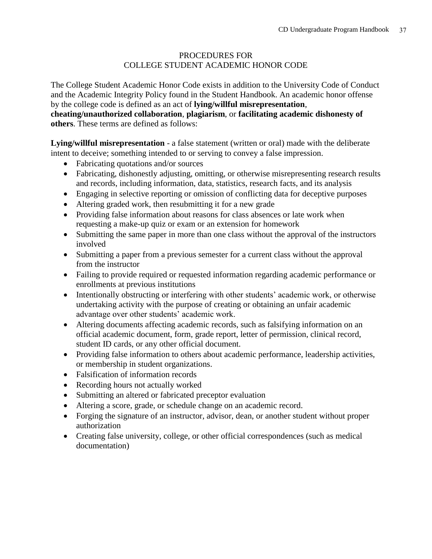#### PROCEDURES FOR COLLEGE STUDENT ACADEMIC HONOR CODE

The College Student Academic Honor Code exists in addition to the University Code of Conduct and the Academic Integrity Policy found in the Student Handbook. An academic honor offense by the college code is defined as an act of **lying/willful misrepresentation**,

**cheating/unauthorized collaboration**, **plagiarism**, or **facilitating academic dishonesty of others**. These terms are defined as follows:

**Lying/willful misrepresentation** - a false statement (written or oral) made with the deliberate intent to deceive; something intended to or serving to convey a false impression.

- Fabricating quotations and/or sources
- Fabricating, dishonestly adjusting, omitting, or otherwise misrepresenting research results and records, including information, data, statistics, research facts, and its analysis
- Engaging in selective reporting or omission of conflicting data for deceptive purposes
- Altering graded work, then resubmitting it for a new grade
- Providing false information about reasons for class absences or late work when requesting a make-up quiz or exam or an extension for homework
- Submitting the same paper in more than one class without the approval of the instructors involved
- Submitting a paper from a previous semester for a current class without the approval from the instructor
- Failing to provide required or requested information regarding academic performance or enrollments at previous institutions
- Intentionally obstructing or interfering with other students' academic work, or otherwise undertaking activity with the purpose of creating or obtaining an unfair academic advantage over other students' academic work.
- Altering documents affecting academic records, such as falsifying information on an official academic document, form, grade report, letter of permission, clinical record, student ID cards, or any other official document.
- Providing false information to others about academic performance, leadership activities, or membership in student organizations.
- Falsification of information records
- Recording hours not actually worked
- Submitting an altered or fabricated preceptor evaluation
- Altering a score, grade, or schedule change on an academic record.
- Forging the signature of an instructor, advisor, dean, or another student without proper authorization
- Creating false university, college, or other official correspondences (such as medical documentation)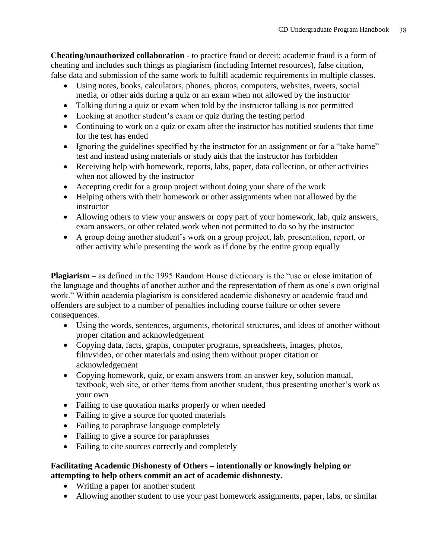**Cheating/unauthorized collaboration** - to practice fraud or deceit; academic fraud is a form of cheating and includes such things as plagiarism (including Internet resources), false citation, false data and submission of the same work to fulfill academic requirements in multiple classes.

- Using notes, books, calculators, phones, photos, computers, websites, tweets, social media, or other aids during a quiz or an exam when not allowed by the instructor
- Talking during a quiz or exam when told by the instructor talking is not permitted
- Looking at another student's exam or quiz during the testing period
- Continuing to work on a quiz or exam after the instructor has notified students that time for the test has ended
- Ignoring the guidelines specified by the instructor for an assignment or for a "take home" test and instead using materials or study aids that the instructor has forbidden
- Receiving help with homework, reports, labs, paper, data collection, or other activities when not allowed by the instructor
- Accepting credit for a group project without doing your share of the work
- Helping others with their homework or other assignments when not allowed by the instructor
- Allowing others to view your answers or copy part of your homework, lab, quiz answers, exam answers, or other related work when not permitted to do so by the instructor
- A group doing another student's work on a group project, lab, presentation, report, or other activity while presenting the work as if done by the entire group equally

**Plagiarism –** as defined in the 1995 Random House dictionary is the "use or close imitation of the language and thoughts of another author and the representation of them as one's own original work." Within academia plagiarism is considered academic dishonesty or academic fraud and offenders are subject to a number of penalties including course failure or other severe consequences.

- Using the words, sentences, arguments, rhetorical structures, and ideas of another without proper citation and acknowledgement
- Copying data, facts, graphs, computer programs, spreadsheets, images, photos, film/video, or other materials and using them without proper citation or acknowledgement
- Copying homework, quiz, or exam answers from an answer key, solution manual, textbook, web site, or other items from another student, thus presenting another's work as your own
- Failing to use quotation marks properly or when needed
- Failing to give a source for quoted materials
- Failing to paraphrase language completely
- Failing to give a source for paraphrases
- Failing to cite sources correctly and completely

#### **Facilitating Academic Dishonesty of Others – intentionally or knowingly helping or attempting to help others commit an act of academic dishonesty.**

- Writing a paper for another student
- Allowing another student to use your past homework assignments, paper, labs, or similar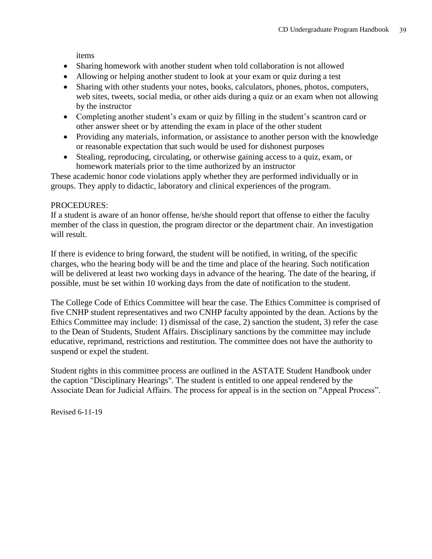items

- Sharing homework with another student when told collaboration is not allowed
- Allowing or helping another student to look at your exam or quiz during a test
- Sharing with other students your notes, books, calculators, phones, photos, computers, web sites, tweets, social media, or other aids during a quiz or an exam when not allowing by the instructor
- Completing another student's exam or quiz by filling in the student's scantron card or other answer sheet or by attending the exam in place of the other student
- Providing any materials, information, or assistance to another person with the knowledge or reasonable expectation that such would be used for dishonest purposes
- Stealing, reproducing, circulating, or otherwise gaining access to a quiz, exam, or homework materials prior to the time authorized by an instructor

These academic honor code violations apply whether they are performed individually or in groups. They apply to didactic, laboratory and clinical experiences of the program.

#### PROCEDURES:

If a student is aware of an honor offense, he/she should report that offense to either the faculty member of the class in question, the program director or the department chair. An investigation will result.

If there is evidence to bring forward, the student will be notified, in writing, of the specific charges, who the hearing body will be and the time and place of the hearing. Such notification will be delivered at least two working days in advance of the hearing. The date of the hearing, if possible, must be set within 10 working days from the date of notification to the student.

The College Code of Ethics Committee will hear the case. The Ethics Committee is comprised of five CNHP student representatives and two CNHP faculty appointed by the dean. Actions by the Ethics Committee may include: 1) dismissal of the case, 2) sanction the student, 3) refer the case to the Dean of Students, Student Affairs. Disciplinary sanctions by the committee may include educative, reprimand, restrictions and restitution. The committee does not have the authority to suspend or expel the student.

Student rights in this committee process are outlined in the ASTATE Student Handbook under the caption "Disciplinary Hearings". The student is entitled to one appeal rendered by the Associate Dean for Judicial Affairs. The process for appeal is in the section on "Appeal Process".

Revised 6-11-19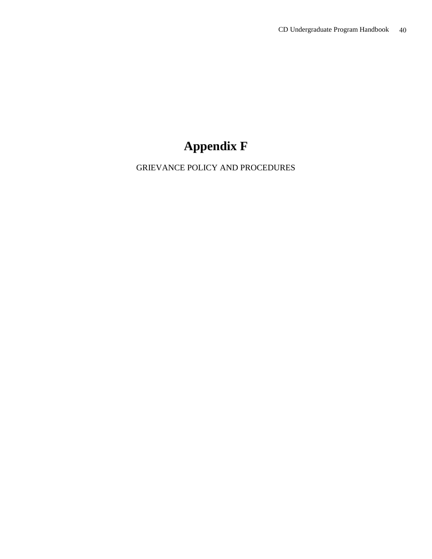## **Appendix F**

GRIEVANCE POLICY AND PROCEDURES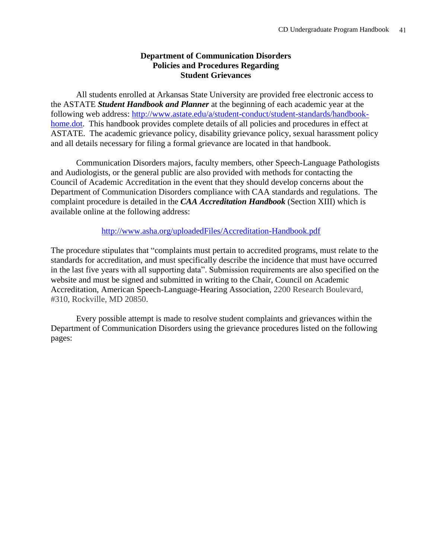#### **Department of Communication Disorders Policies and Procedures Regarding Student Grievances**

All students enrolled at Arkansas State University are provided free electronic access to the ASTATE *Student Handbook and Planner* at the beginning of each academic year at the following web address: [http://www.astate.edu/a/student-conduct/student-standards/handbook](http://www.astate.edu/a/student-conduct/student-standards/handbook-home.dot)[home.dot.](http://www.astate.edu/a/student-conduct/student-standards/handbook-home.dot) This handbook provides complete details of all policies and procedures in effect at ASTATE. The academic grievance policy, disability grievance policy, sexual harassment policy and all details necessary for filing a formal grievance are located in that handbook.

Communication Disorders majors, faculty members, other Speech-Language Pathologists and Audiologists, or the general public are also provided with methods for contacting the Council of Academic Accreditation in the event that they should develop concerns about the Department of Communication Disorders compliance with CAA standards and regulations. The complaint procedure is detailed in the *CAA Accreditation Handbook* (Section XIII) which is available online at the following address:

<http://www.asha.org/uploadedFiles/Accreditation-Handbook.pdf>

The procedure stipulates that "complaints must pertain to accredited programs, must relate to the standards for accreditation, and must specifically describe the incidence that must have occurred in the last five years with all supporting data". Submission requirements are also specified on the website and must be signed and submitted in writing to the Chair, Council on Academic Accreditation, American Speech-Language-Hearing Association, 2200 Research Boulevard, #310, Rockville, MD 20850.

Every possible attempt is made to resolve student complaints and grievances within the Department of Communication Disorders using the grievance procedures listed on the following pages: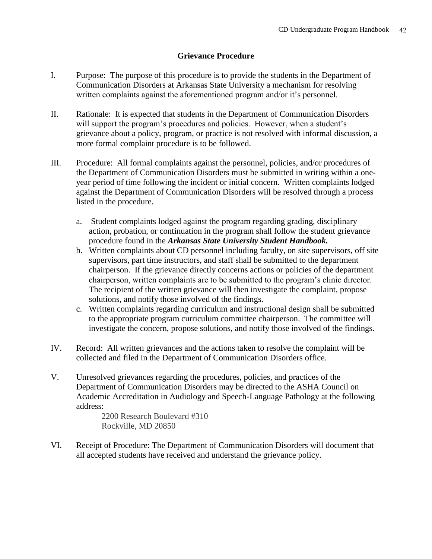#### **Grievance Procedure**

- I. Purpose: The purpose of this procedure is to provide the students in the Department of Communication Disorders at Arkansas State University a mechanism for resolving written complaints against the aforementioned program and/or it's personnel.
- II. Rationale: It is expected that students in the Department of Communication Disorders will support the program's procedures and policies. However, when a student's grievance about a policy, program, or practice is not resolved with informal discussion, a more formal complaint procedure is to be followed.
- III. Procedure: All formal complaints against the personnel, policies, and/or procedures of the Department of Communication Disorders must be submitted in writing within a oneyear period of time following the incident or initial concern. Written complaints lodged against the Department of Communication Disorders will be resolved through a process listed in the procedure.
	- a. Student complaints lodged against the program regarding grading, disciplinary action, probation, or continuation in the program shall follow the student grievance procedure found in the *Arkansas State University Student Handbook.*
	- b. Written complaints about CD personnel including faculty, on site supervisors, off site supervisors, part time instructors, and staff shall be submitted to the department chairperson. If the grievance directly concerns actions or policies of the department chairperson, written complaints are to be submitted to the program's clinic director. The recipient of the written grievance will then investigate the complaint, propose solutions, and notify those involved of the findings.
	- c. Written complaints regarding curriculum and instructional design shall be submitted to the appropriate program curriculum committee chairperson. The committee will investigate the concern, propose solutions, and notify those involved of the findings.
- IV. Record: All written grievances and the actions taken to resolve the complaint will be collected and filed in the Department of Communication Disorders office.
- V. Unresolved grievances regarding the procedures, policies, and practices of the Department of Communication Disorders may be directed to the ASHA Council on Academic Accreditation in Audiology and Speech-Language Pathology at the following address:

2200 Research Boulevard #310 Rockville, MD 20850

VI. Receipt of Procedure: The Department of Communication Disorders will document that all accepted students have received and understand the grievance policy.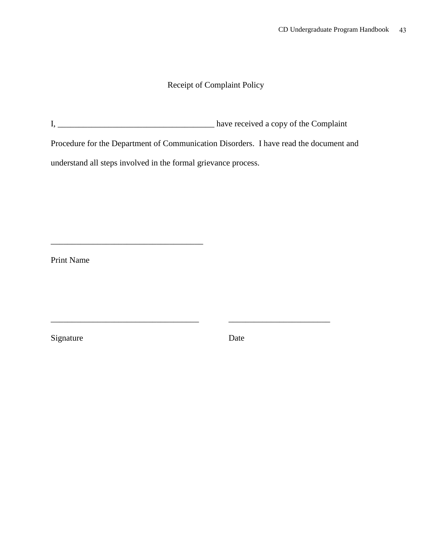#### Receipt of Complaint Policy

I, \_\_\_\_\_\_\_\_\_\_\_\_\_\_\_\_\_\_\_\_\_\_\_\_\_\_\_\_\_\_\_\_\_\_\_\_\_ have received a copy of the Complaint

\_\_\_\_\_\_\_\_\_\_\_\_\_\_\_\_\_\_\_\_\_\_\_\_\_\_\_\_\_\_\_\_\_\_\_ \_\_\_\_\_\_\_\_\_\_\_\_\_\_\_\_\_\_\_\_\_\_\_\_

Procedure for the Department of Communication Disorders. I have read the document and

understand all steps involved in the formal grievance process.

\_\_\_\_\_\_\_\_\_\_\_\_\_\_\_\_\_\_\_\_\_\_\_\_\_\_\_\_\_\_\_\_\_\_\_\_

Print Name

Signature Date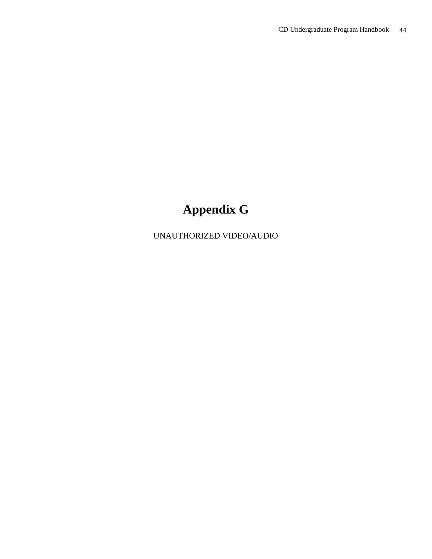## **Appendix G**

UNAUTHORIZED VIDEO/AUDIO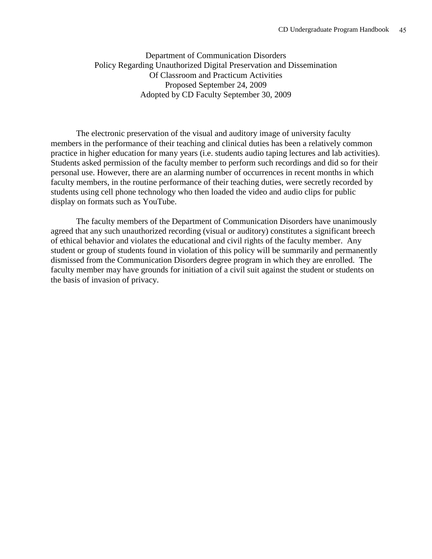Department of Communication Disorders Policy Regarding Unauthorized Digital Preservation and Dissemination Of Classroom and Practicum Activities Proposed September 24, 2009 Adopted by CD Faculty September 30, 2009

The electronic preservation of the visual and auditory image of university faculty members in the performance of their teaching and clinical duties has been a relatively common practice in higher education for many years (i.e. students audio taping lectures and lab activities). Students asked permission of the faculty member to perform such recordings and did so for their personal use. However, there are an alarming number of occurrences in recent months in which faculty members, in the routine performance of their teaching duties, were secretly recorded by students using cell phone technology who then loaded the video and audio clips for public display on formats such as YouTube.

The faculty members of the Department of Communication Disorders have unanimously agreed that any such unauthorized recording (visual or auditory) constitutes a significant breech of ethical behavior and violates the educational and civil rights of the faculty member. Any student or group of students found in violation of this policy will be summarily and permanently dismissed from the Communication Disorders degree program in which they are enrolled. The faculty member may have grounds for initiation of a civil suit against the student or students on the basis of invasion of privacy.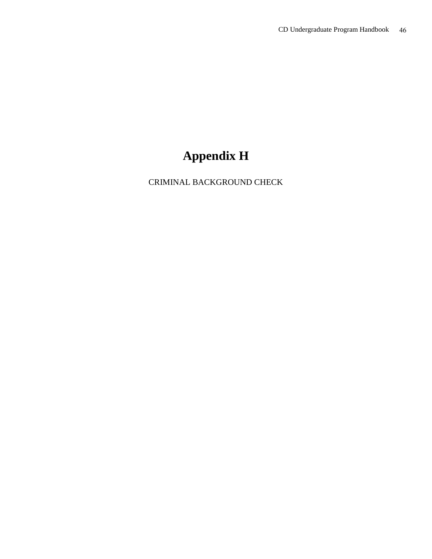## **Appendix H**

CRIMINAL BACKGROUND CHECK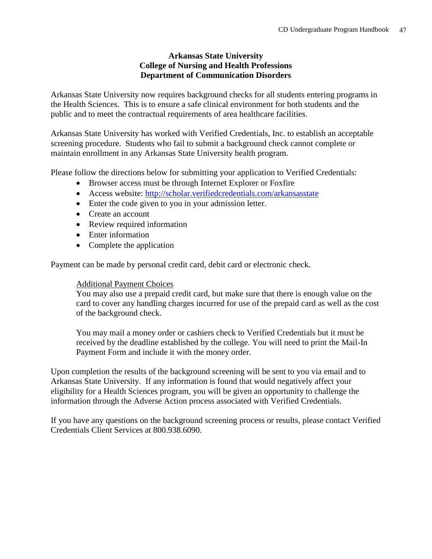#### **Arkansas State University College of Nursing and Health Professions Department of Communication Disorders**

Arkansas State University now requires background checks for all students entering programs in the Health Sciences. This is to ensure a safe clinical environment for both students and the public and to meet the contractual requirements of area healthcare facilities.

Arkansas State University has worked with Verified Credentials, Inc. to establish an acceptable screening procedure. Students who fail to submit a background check cannot complete or maintain enrollment in any Arkansas State University health program.

Please follow the directions below for submitting your application to Verified Credentials:

- Browser access must be through Internet Explorer or Foxfire
- Access website:<http://scholar.verifiedcredentials.com/arkansasstate>
- Enter the code given to you in your admission letter.
- Create an account
- Review required information
- Enter information
- Complete the application

Payment can be made by personal credit card, debit card or electronic check.

#### Additional Payment Choices

You may also use a prepaid credit card, but make sure that there is enough value on the card to cover any handling charges incurred for use of the prepaid card as well as the cost of the background check.

You may mail a money order or cashiers check to Verified Credentials but it must be received by the deadline established by the college. You will need to print the Mail-In Payment Form and include it with the money order.

Upon completion the results of the background screening will be sent to you via email and to Arkansas State University. If any information is found that would negatively affect your eligibility for a Health Sciences program, you will be given an opportunity to challenge the information through the Adverse Action process associated with Verified Credentials.

If you have any questions on the background screening process or results, please contact Verified Credentials Client Services at 800.938.6090.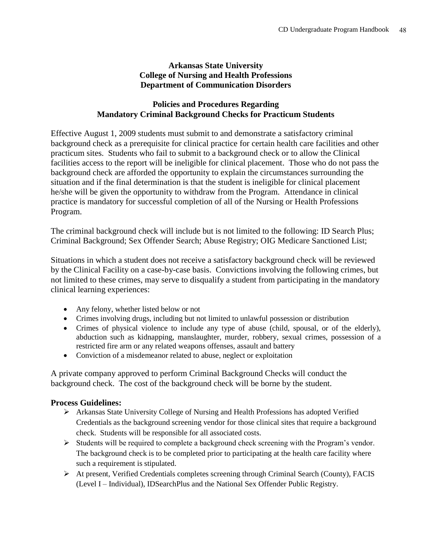#### **Arkansas State University College of Nursing and Health Professions Department of Communication Disorders**

#### **Policies and Procedures Regarding Mandatory Criminal Background Checks for Practicum Students**

Effective August 1, 2009 students must submit to and demonstrate a satisfactory criminal background check as a prerequisite for clinical practice for certain health care facilities and other practicum sites. Students who fail to submit to a background check or to allow the Clinical facilities access to the report will be ineligible for clinical placement. Those who do not pass the background check are afforded the opportunity to explain the circumstances surrounding the situation and if the final determination is that the student is ineligible for clinical placement he/she will be given the opportunity to withdraw from the Program. Attendance in clinical practice is mandatory for successful completion of all of the Nursing or Health Professions Program.

The criminal background check will include but is not limited to the following: ID Search Plus; Criminal Background; Sex Offender Search; Abuse Registry; OIG Medicare Sanctioned List;

Situations in which a student does not receive a satisfactory background check will be reviewed by the Clinical Facility on a case-by-case basis. Convictions involving the following crimes, but not limited to these crimes, may serve to disqualify a student from participating in the mandatory clinical learning experiences:

- Any felony, whether listed below or not
- Crimes involving drugs, including but not limited to unlawful possession or distribution
- Crimes of physical violence to include any type of abuse (child, spousal, or of the elderly), abduction such as kidnapping, manslaughter, murder, robbery, sexual crimes, possession of a restricted fire arm or any related weapons offenses, assault and battery
- Conviction of a misdemeanor related to abuse, neglect or exploitation

A private company approved to perform Criminal Background Checks will conduct the background check. The cost of the background check will be borne by the student.

#### **Process Guidelines:**

- Arkansas State University College of Nursing and Health Professions has adopted Verified Credentials as the background screening vendor for those clinical sites that require a background check. Students will be responsible for all associated costs.
- $\triangleright$  Students will be required to complete a background check screening with the Program's vendor. The background check is to be completed prior to participating at the health care facility where such a requirement is stipulated.
- At present, Verified Credentials completes screening through Criminal Search (County), FACIS (Level I – Individual), IDSearchPlus and the National Sex Offender Public Registry.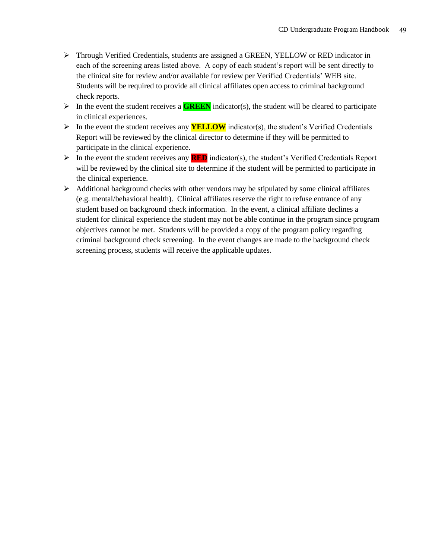- Through Verified Credentials, students are assigned a GREEN, YELLOW or RED indicator in each of the screening areas listed above. A copy of each student's report will be sent directly to the clinical site for review and/or available for review per Verified Credentials' WEB site. Students will be required to provide all clinical affiliates open access to criminal background check reports.
- In the event the student receives a **GREEN** indicator(s), the student will be cleared to participate in clinical experiences.
- In the event the student receives any **YELLOW** indicator(s), the student's Verified Credentials Report will be reviewed by the clinical director to determine if they will be permitted to participate in the clinical experience.
- $\triangleright$  In the event the student receives any **RED** indicator(s), the student's Verified Credentials Report will be reviewed by the clinical site to determine if the student will be permitted to participate in the clinical experience.
- $\triangleright$  Additional background checks with other vendors may be stipulated by some clinical affiliates (e.g. mental/behavioral health). Clinical affiliates reserve the right to refuse entrance of any student based on background check information. In the event, a clinical affiliate declines a student for clinical experience the student may not be able continue in the program since program objectives cannot be met. Students will be provided a copy of the program policy regarding criminal background check screening. In the event changes are made to the background check screening process, students will receive the applicable updates.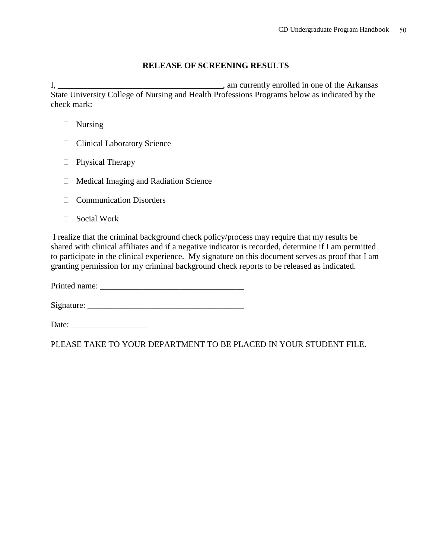#### **RELEASE OF SCREENING RESULTS**

I, \_\_\_\_\_\_\_\_\_\_\_\_\_\_\_\_\_\_\_\_\_\_\_\_\_\_\_\_\_\_\_\_\_\_\_\_\_\_\_, am currently enrolled in one of the Arkansas State University College of Nursing and Health Professions Programs below as indicated by the check mark:

- □ Nursing
- **Clinical Laboratory Science**
- □ Physical Therapy
- $\Box$  Medical Imaging and Radiation Science
- **Communication Disorders**
- □ Social Work

I realize that the criminal background check policy/process may require that my results be shared with clinical affiliates and if a negative indicator is recorded, determine if I am permitted to participate in the clinical experience. My signature on this document serves as proof that I am granting permission for my criminal background check reports to be released as indicated.

Printed name: \_\_\_\_\_\_\_\_\_\_\_\_\_\_\_\_\_\_\_\_\_\_\_\_\_\_\_\_\_\_\_\_\_\_

 $Sigma:$   $\qquad \qquad$ 

Date: \_\_\_\_\_\_\_\_\_\_\_\_\_\_\_\_\_\_

PLEASE TAKE TO YOUR DEPARTMENT TO BE PLACED IN YOUR STUDENT FILE.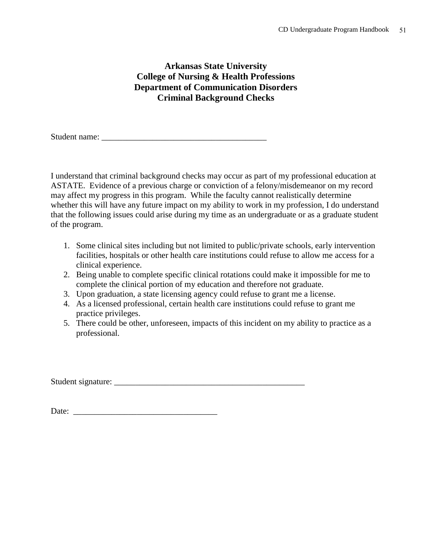#### **Arkansas State University College of Nursing & Health Professions Department of Communication Disorders Criminal Background Checks**

Student name: \_\_\_\_\_\_\_\_\_\_\_\_\_\_\_\_\_\_\_\_\_\_\_\_\_\_\_\_\_\_\_\_\_\_\_\_\_\_\_

I understand that criminal background checks may occur as part of my professional education at ASTATE. Evidence of a previous charge or conviction of a felony/misdemeanor on my record may affect my progress in this program. While the faculty cannot realistically determine whether this will have any future impact on my ability to work in my profession, I do understand that the following issues could arise during my time as an undergraduate or as a graduate student of the program.

- 1. Some clinical sites including but not limited to public/private schools, early intervention facilities, hospitals or other health care institutions could refuse to allow me access for a clinical experience.
- 2. Being unable to complete specific clinical rotations could make it impossible for me to complete the clinical portion of my education and therefore not graduate.
- 3. Upon graduation, a state licensing agency could refuse to grant me a license.
- 4. As a licensed professional, certain health care institutions could refuse to grant me practice privileges.
- 5. There could be other, unforeseen, impacts of this incident on my ability to practice as a professional.

Student signature: \_\_\_\_\_\_\_\_\_\_\_\_\_\_\_\_\_\_\_\_\_\_\_\_\_\_\_\_\_\_\_\_\_\_\_\_\_\_\_\_\_\_\_\_\_

Date: \_\_\_\_\_\_\_\_\_\_\_\_\_\_\_\_\_\_\_\_\_\_\_\_\_\_\_\_\_\_\_\_\_\_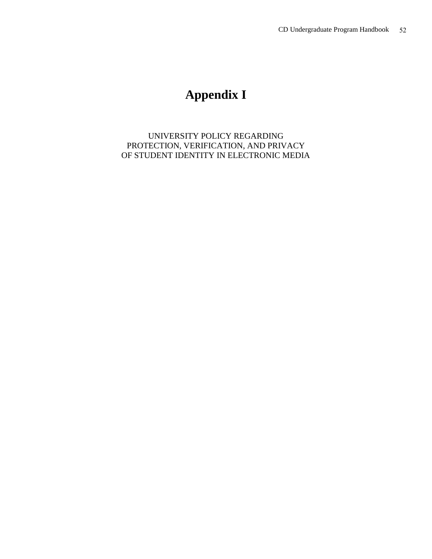### **Appendix I**

UNIVERSITY POLICY REGARDING PROTECTION, VERIFICATION, AND PRIVACY OF STUDENT IDENTITY IN ELECTRONIC MEDIA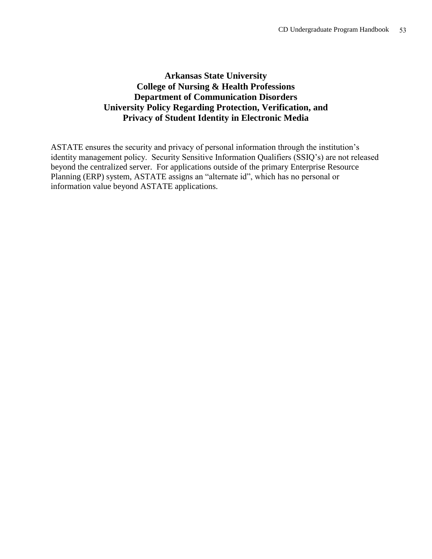#### **Arkansas State University College of Nursing & Health Professions Department of Communication Disorders University Policy Regarding Protection, Verification, and Privacy of Student Identity in Electronic Media**

ASTATE ensures the security and privacy of personal information through the institution's identity management policy. Security Sensitive Information Qualifiers (SSIQ's) are not released beyond the centralized server. For applications outside of the primary Enterprise Resource Planning (ERP) system, ASTATE assigns an "alternate id", which has no personal or information value beyond ASTATE applications.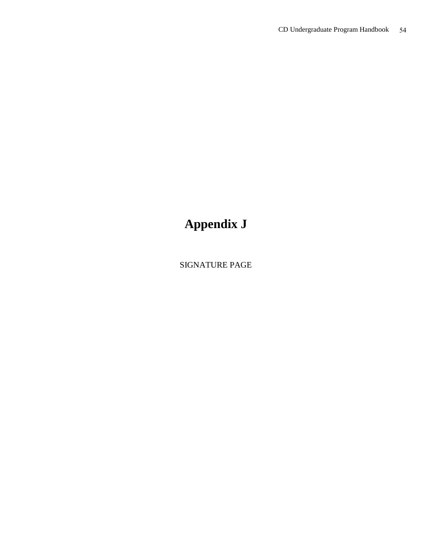## **Appendix J**

SIGNATURE PAGE